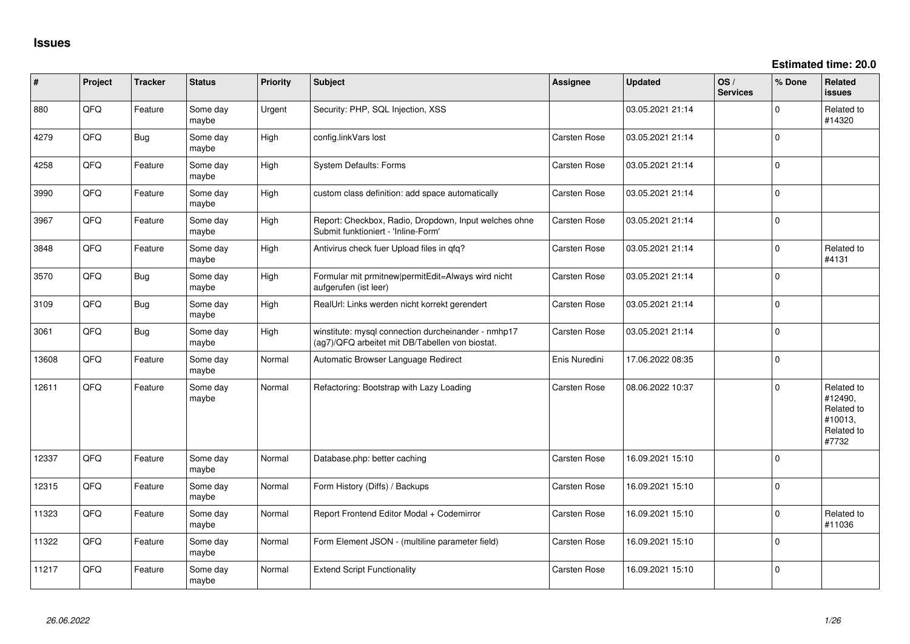**Estimated time: 20.0**

| #     | Project | <b>Tracker</b> | <b>Status</b>     | <b>Priority</b> | Subject                                                                                                | Assignee            | <b>Updated</b>   | OS/<br><b>Services</b> | % Done      | Related<br><b>issues</b>                                              |
|-------|---------|----------------|-------------------|-----------------|--------------------------------------------------------------------------------------------------------|---------------------|------------------|------------------------|-------------|-----------------------------------------------------------------------|
| 880   | QFQ     | Feature        | Some day<br>maybe | Urgent          | Security: PHP, SQL Injection, XSS                                                                      |                     | 03.05.2021 21:14 |                        | $\Omega$    | Related to<br>#14320                                                  |
| 4279  | QFQ     | Bug            | Some day<br>maybe | High            | config.linkVars lost                                                                                   | Carsten Rose        | 03.05.2021 21:14 |                        | $\Omega$    |                                                                       |
| 4258  | QFQ     | Feature        | Some day<br>maybe | High            | System Defaults: Forms                                                                                 | Carsten Rose        | 03.05.2021 21:14 |                        | $\Omega$    |                                                                       |
| 3990  | QFQ     | Feature        | Some day<br>maybe | High            | custom class definition: add space automatically                                                       | Carsten Rose        | 03.05.2021 21:14 |                        | $\Omega$    |                                                                       |
| 3967  | QFQ     | Feature        | Some day<br>maybe | High            | Report: Checkbox, Radio, Dropdown, Input welches ohne<br>Submit funktioniert - 'Inline-Form'           | Carsten Rose        | 03.05.2021 21:14 |                        | $\Omega$    |                                                                       |
| 3848  | QFQ     | Feature        | Some day<br>maybe | High            | Antivirus check fuer Upload files in qfq?                                                              | Carsten Rose        | 03.05.2021 21:14 |                        | $\Omega$    | Related to<br>#4131                                                   |
| 3570  | QFQ     | Bug            | Some day<br>maybe | High            | Formular mit prmitnew   permitEdit=Always wird nicht<br>aufgerufen (ist leer)                          | Carsten Rose        | 03.05.2021 21:14 |                        | $\Omega$    |                                                                       |
| 3109  | QFQ     | Bug            | Some day<br>maybe | High            | RealUrl: Links werden nicht korrekt gerendert                                                          | Carsten Rose        | 03.05.2021 21:14 |                        | $\mathbf 0$ |                                                                       |
| 3061  | QFQ     | Bug            | Some day<br>maybe | High            | winstitute: mysql connection durcheinander - nmhp17<br>(ag7)/QFQ arbeitet mit DB/Tabellen von biostat. | Carsten Rose        | 03.05.2021 21:14 |                        | $\Omega$    |                                                                       |
| 13608 | QFQ     | Feature        | Some day<br>maybe | Normal          | Automatic Browser Language Redirect                                                                    | Enis Nuredini       | 17.06.2022 08:35 |                        | $\Omega$    |                                                                       |
| 12611 | QFQ     | Feature        | Some day<br>maybe | Normal          | Refactoring: Bootstrap with Lazy Loading                                                               | Carsten Rose        | 08.06.2022 10:37 |                        | $\Omega$    | Related to<br>#12490,<br>Related to<br>#10013,<br>Related to<br>#7732 |
| 12337 | QFQ     | Feature        | Some day<br>maybe | Normal          | Database.php: better caching                                                                           | <b>Carsten Rose</b> | 16.09.2021 15:10 |                        | $\Omega$    |                                                                       |
| 12315 | QFQ     | Feature        | Some day<br>maybe | Normal          | Form History (Diffs) / Backups                                                                         | Carsten Rose        | 16.09.2021 15:10 |                        | $\Omega$    |                                                                       |
| 11323 | QFQ     | Feature        | Some day<br>maybe | Normal          | Report Frontend Editor Modal + Codemirror                                                              | Carsten Rose        | 16.09.2021 15:10 |                        | $\Omega$    | Related to<br>#11036                                                  |
| 11322 | QFQ     | Feature        | Some day<br>maybe | Normal          | Form Element JSON - (multiline parameter field)                                                        | Carsten Rose        | 16.09.2021 15:10 |                        | $\Omega$    |                                                                       |
| 11217 | QFQ     | Feature        | Some day<br>maybe | Normal          | <b>Extend Script Functionality</b>                                                                     | <b>Carsten Rose</b> | 16.09.2021 15:10 |                        | $\Omega$    |                                                                       |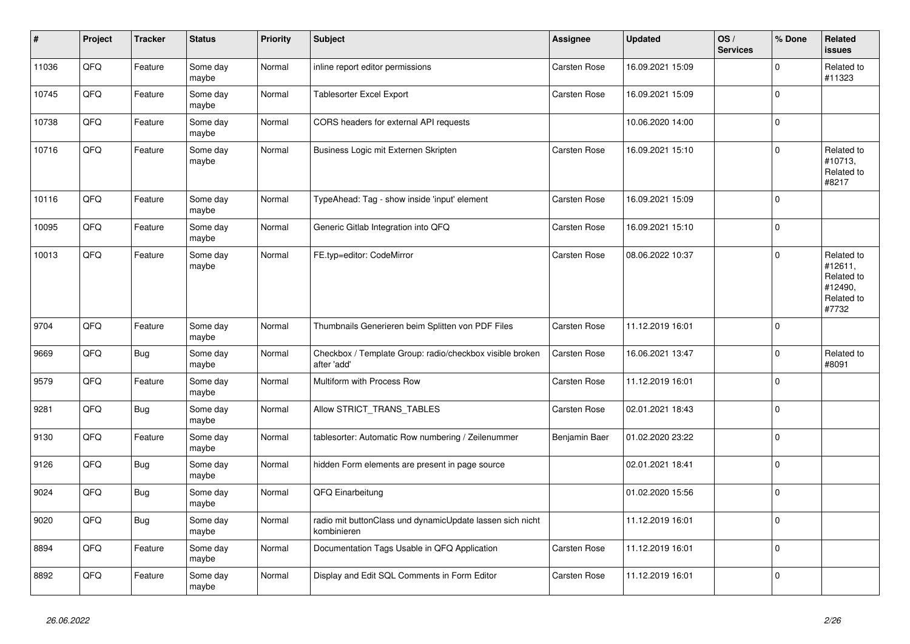| $\vert$ # | Project | <b>Tracker</b> | <b>Status</b>     | <b>Priority</b> | <b>Subject</b>                                                           | Assignee            | <b>Updated</b>   | OS/<br><b>Services</b> | % Done      | <b>Related</b><br><b>issues</b>                                       |
|-----------|---------|----------------|-------------------|-----------------|--------------------------------------------------------------------------|---------------------|------------------|------------------------|-------------|-----------------------------------------------------------------------|
| 11036     | QFQ     | Feature        | Some day<br>maybe | Normal          | inline report editor permissions                                         | Carsten Rose        | 16.09.2021 15:09 |                        | $\Omega$    | Related to<br>#11323                                                  |
| 10745     | QFQ     | Feature        | Some day<br>maybe | Normal          | Tablesorter Excel Export                                                 | Carsten Rose        | 16.09.2021 15:09 |                        | $\mathbf 0$ |                                                                       |
| 10738     | QFQ     | Feature        | Some day<br>maybe | Normal          | CORS headers for external API requests                                   |                     | 10.06.2020 14:00 |                        | $\mathbf 0$ |                                                                       |
| 10716     | QFQ     | Feature        | Some day<br>maybe | Normal          | Business Logic mit Externen Skripten                                     | Carsten Rose        | 16.09.2021 15:10 |                        | $\Omega$    | Related to<br>#10713,<br>Related to<br>#8217                          |
| 10116     | QFQ     | Feature        | Some day<br>maybe | Normal          | TypeAhead: Tag - show inside 'input' element                             | Carsten Rose        | 16.09.2021 15:09 |                        | $\mathbf 0$ |                                                                       |
| 10095     | QFQ     | Feature        | Some day<br>maybe | Normal          | Generic Gitlab Integration into QFQ                                      | Carsten Rose        | 16.09.2021 15:10 |                        | $\mathbf 0$ |                                                                       |
| 10013     | QFQ     | Feature        | Some day<br>maybe | Normal          | FE.typ=editor: CodeMirror                                                | Carsten Rose        | 08.06.2022 10:37 |                        | $\Omega$    | Related to<br>#12611,<br>Related to<br>#12490,<br>Related to<br>#7732 |
| 9704      | QFQ     | Feature        | Some day<br>maybe | Normal          | Thumbnails Generieren beim Splitten von PDF Files                        | <b>Carsten Rose</b> | 11.12.2019 16:01 |                        | $\mathbf 0$ |                                                                       |
| 9669      | QFQ     | Bug            | Some day<br>maybe | Normal          | Checkbox / Template Group: radio/checkbox visible broken<br>after 'add'  | Carsten Rose        | 16.06.2021 13:47 |                        | $\Omega$    | Related to<br>#8091                                                   |
| 9579      | QFQ     | Feature        | Some day<br>maybe | Normal          | Multiform with Process Row                                               | Carsten Rose        | 11.12.2019 16:01 |                        | $\mathbf 0$ |                                                                       |
| 9281      | QFQ     | <b>Bug</b>     | Some day<br>maybe | Normal          | Allow STRICT_TRANS_TABLES                                                | Carsten Rose        | 02.01.2021 18:43 |                        | $\mathbf 0$ |                                                                       |
| 9130      | QFQ     | Feature        | Some day<br>maybe | Normal          | tablesorter: Automatic Row numbering / Zeilenummer                       | Benjamin Baer       | 01.02.2020 23:22 |                        | $\mathbf 0$ |                                                                       |
| 9126      | QFQ     | Bug            | Some day<br>maybe | Normal          | hidden Form elements are present in page source                          |                     | 02.01.2021 18:41 |                        | $\pmb{0}$   |                                                                       |
| 9024      | QFQ     | Bug            | Some day<br>maybe | Normal          | QFQ Einarbeitung                                                         |                     | 01.02.2020 15:56 |                        | $\mathbf 0$ |                                                                       |
| 9020      | QFQ     | Bug            | Some day<br>maybe | Normal          | radio mit buttonClass und dynamicUpdate lassen sich nicht<br>kombinieren |                     | 11.12.2019 16:01 |                        | $\mathbf 0$ |                                                                       |
| 8894      | QFG     | Feature        | Some day<br>maybe | Normal          | Documentation Tags Usable in QFQ Application                             | Carsten Rose        | 11.12.2019 16:01 |                        | $\pmb{0}$   |                                                                       |
| 8892      | QFQ     | Feature        | Some day<br>maybe | Normal          | Display and Edit SQL Comments in Form Editor                             | Carsten Rose        | 11.12.2019 16:01 |                        | $\mathbf 0$ |                                                                       |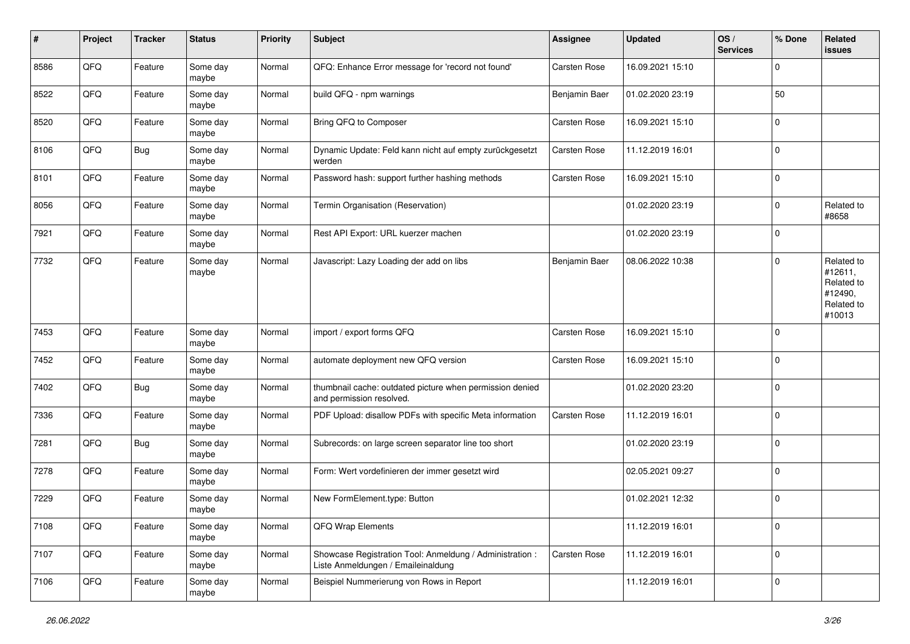| #    | Project | <b>Tracker</b> | <b>Status</b>     | Priority | <b>Subject</b>                                                                                 | Assignee            | <b>Updated</b>   | OS/<br><b>Services</b> | % Done      | Related<br><b>issues</b>                                               |
|------|---------|----------------|-------------------|----------|------------------------------------------------------------------------------------------------|---------------------|------------------|------------------------|-------------|------------------------------------------------------------------------|
| 8586 | QFQ     | Feature        | Some day<br>maybe | Normal   | QFQ: Enhance Error message for 'record not found'                                              | Carsten Rose        | 16.09.2021 15:10 |                        | $\Omega$    |                                                                        |
| 8522 | QFQ     | Feature        | Some day<br>maybe | Normal   | build QFQ - npm warnings                                                                       | Benjamin Baer       | 01.02.2020 23:19 |                        | 50          |                                                                        |
| 8520 | QFQ     | Feature        | Some day<br>maybe | Normal   | Bring QFQ to Composer                                                                          | <b>Carsten Rose</b> | 16.09.2021 15:10 |                        | $\mathbf 0$ |                                                                        |
| 8106 | QFQ     | <b>Bug</b>     | Some day<br>maybe | Normal   | Dynamic Update: Feld kann nicht auf empty zurückgesetzt<br>werden                              | <b>Carsten Rose</b> | 11.12.2019 16:01 |                        | $\mathbf 0$ |                                                                        |
| 8101 | QFQ     | Feature        | Some day<br>maybe | Normal   | Password hash: support further hashing methods                                                 | <b>Carsten Rose</b> | 16.09.2021 15:10 |                        | l 0         |                                                                        |
| 8056 | QFQ     | Feature        | Some day<br>maybe | Normal   | Termin Organisation (Reservation)                                                              |                     | 01.02.2020 23:19 |                        | $\Omega$    | Related to<br>#8658                                                    |
| 7921 | QFQ     | Feature        | Some day<br>maybe | Normal   | Rest API Export: URL kuerzer machen                                                            |                     | 01.02.2020 23:19 |                        | $\Omega$    |                                                                        |
| 7732 | QFQ     | Feature        | Some day<br>maybe | Normal   | Javascript: Lazy Loading der add on libs                                                       | Benjamin Baer       | 08.06.2022 10:38 |                        | $\Omega$    | Related to<br>#12611,<br>Related to<br>#12490,<br>Related to<br>#10013 |
| 7453 | QFQ     | Feature        | Some day<br>maybe | Normal   | import / export forms QFQ                                                                      | <b>Carsten Rose</b> | 16.09.2021 15:10 |                        | l 0         |                                                                        |
| 7452 | QFQ     | Feature        | Some day<br>maybe | Normal   | automate deployment new QFQ version                                                            | <b>Carsten Rose</b> | 16.09.2021 15:10 |                        | $\mathbf 0$ |                                                                        |
| 7402 | QFQ     | <b>Bug</b>     | Some day<br>maybe | Normal   | thumbnail cache: outdated picture when permission denied<br>and permission resolved.           |                     | 01.02.2020 23:20 |                        | $\Omega$    |                                                                        |
| 7336 | QFQ     | Feature        | Some day<br>maybe | Normal   | PDF Upload: disallow PDFs with specific Meta information                                       | Carsten Rose        | 11.12.2019 16:01 |                        | l 0         |                                                                        |
| 7281 | QFQ     | Bug            | Some day<br>maybe | Normal   | Subrecords: on large screen separator line too short                                           |                     | 01.02.2020 23:19 |                        | 0           |                                                                        |
| 7278 | QFQ     | Feature        | Some day<br>maybe | Normal   | Form: Wert vordefinieren der immer gesetzt wird                                                |                     | 02.05.2021 09:27 |                        | 0           |                                                                        |
| 7229 | QFQ     | Feature        | Some day<br>maybe | Normal   | New FormElement.type: Button                                                                   |                     | 01.02.2021 12:32 |                        | $\Omega$    |                                                                        |
| 7108 | QFQ     | Feature        | Some day<br>maybe | Normal   | QFQ Wrap Elements                                                                              |                     | 11.12.2019 16:01 |                        | 0           |                                                                        |
| 7107 | QFQ     | Feature        | Some day<br>maybe | Normal   | Showcase Registration Tool: Anmeldung / Administration :<br>Liste Anmeldungen / Emaileinaldung | <b>Carsten Rose</b> | 11.12.2019 16:01 |                        | 0           |                                                                        |
| 7106 | QFQ     | Feature        | Some day<br>maybe | Normal   | Beispiel Nummerierung von Rows in Report                                                       |                     | 11.12.2019 16:01 |                        | l 0         |                                                                        |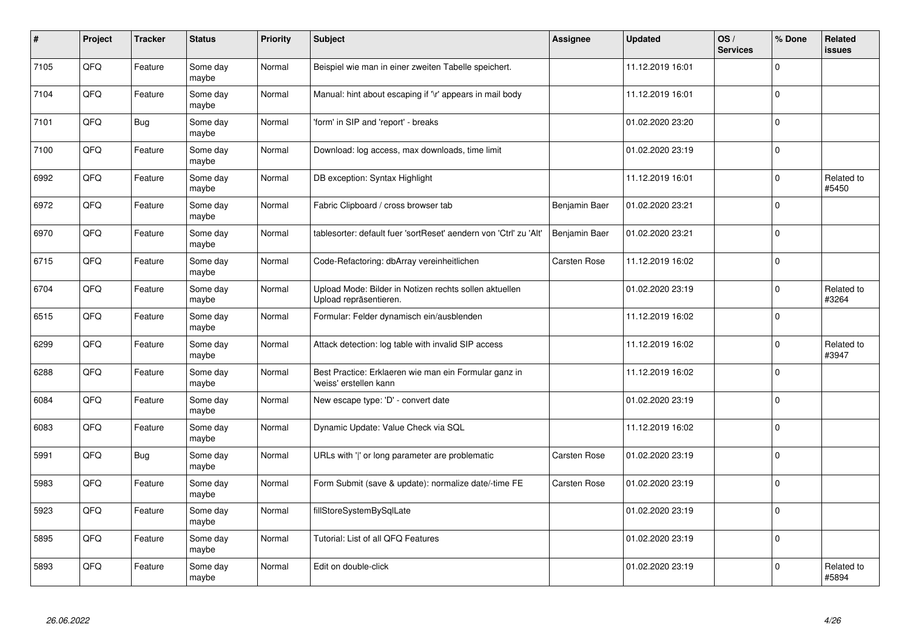| #    | Project | <b>Tracker</b> | <b>Status</b>     | Priority | Subject                                                                          | Assignee            | <b>Updated</b>   | OS/<br><b>Services</b> | % Done         | Related<br>issues   |
|------|---------|----------------|-------------------|----------|----------------------------------------------------------------------------------|---------------------|------------------|------------------------|----------------|---------------------|
| 7105 | QFQ     | Feature        | Some day<br>maybe | Normal   | Beispiel wie man in einer zweiten Tabelle speichert.                             |                     | 11.12.2019 16:01 |                        | $\Omega$       |                     |
| 7104 | QFQ     | Feature        | Some day<br>maybe | Normal   | Manual: hint about escaping if '\r' appears in mail body                         |                     | 11.12.2019 16:01 |                        | $\Omega$       |                     |
| 7101 | QFQ     | <b>Bug</b>     | Some day<br>maybe | Normal   | 'form' in SIP and 'report' - breaks                                              |                     | 01.02.2020 23:20 |                        | l 0            |                     |
| 7100 | QFQ     | Feature        | Some day<br>maybe | Normal   | Download: log access, max downloads, time limit                                  |                     | 01.02.2020 23:19 |                        | $\overline{0}$ |                     |
| 6992 | QFQ     | Feature        | Some day<br>maybe | Normal   | DB exception: Syntax Highlight                                                   |                     | 11.12.2019 16:01 |                        | l 0            | Related to<br>#5450 |
| 6972 | QFQ     | Feature        | Some day<br>maybe | Normal   | Fabric Clipboard / cross browser tab                                             | Benjamin Baer       | 01.02.2020 23:21 |                        | l 0            |                     |
| 6970 | QFQ     | Feature        | Some day<br>maybe | Normal   | tablesorter: default fuer 'sortReset' aendern von 'Ctrl' zu 'Alt'                | Benjamin Baer       | 01.02.2020 23:21 |                        | 0              |                     |
| 6715 | QFQ     | Feature        | Some day<br>maybe | Normal   | Code-Refactoring: dbArray vereinheitlichen                                       | <b>Carsten Rose</b> | 11.12.2019 16:02 |                        | $\Omega$       |                     |
| 6704 | QFQ     | Feature        | Some day<br>maybe | Normal   | Upload Mode: Bilder in Notizen rechts sollen aktuellen<br>Upload repräsentieren. |                     | 01.02.2020 23:19 |                        | $\mathbf{0}$   | Related to<br>#3264 |
| 6515 | QFQ     | Feature        | Some day<br>maybe | Normal   | Formular: Felder dynamisch ein/ausblenden                                        |                     | 11.12.2019 16:02 |                        | $\mathbf 0$    |                     |
| 6299 | QFQ     | Feature        | Some day<br>maybe | Normal   | Attack detection: log table with invalid SIP access                              |                     | 11.12.2019 16:02 |                        | $\mathbf{0}$   | Related to<br>#3947 |
| 6288 | QFQ     | Feature        | Some day<br>maybe | Normal   | Best Practice: Erklaeren wie man ein Formular ganz in<br>'weiss' erstellen kann  |                     | 11.12.2019 16:02 |                        | 0              |                     |
| 6084 | QFQ     | Feature        | Some day<br>maybe | Normal   | New escape type: 'D' - convert date                                              |                     | 01.02.2020 23:19 |                        | l o            |                     |
| 6083 | QFQ     | Feature        | Some day<br>maybe | Normal   | Dynamic Update: Value Check via SQL                                              |                     | 11.12.2019 16:02 |                        | $\overline{0}$ |                     |
| 5991 | QFQ     | <b>Bug</b>     | Some day<br>maybe | Normal   | URLs with ' ' or long parameter are problematic                                  | <b>Carsten Rose</b> | 01.02.2020 23:19 |                        | $\Omega$       |                     |
| 5983 | QFQ     | Feature        | Some day<br>maybe | Normal   | Form Submit (save & update): normalize date/-time FE                             | <b>Carsten Rose</b> | 01.02.2020 23:19 |                        | $\Omega$       |                     |
| 5923 | QFQ     | Feature        | Some day<br>maybe | Normal   | fillStoreSystemBySqlLate                                                         |                     | 01.02.2020 23:19 |                        | $\Omega$       |                     |
| 5895 | QFQ     | Feature        | Some day<br>maybe | Normal   | Tutorial: List of all QFQ Features                                               |                     | 01.02.2020 23:19 |                        | $\overline{0}$ |                     |
| 5893 | QFQ     | Feature        | Some day<br>maybe | Normal   | Edit on double-click                                                             |                     | 01.02.2020 23:19 |                        | $\Omega$       | Related to<br>#5894 |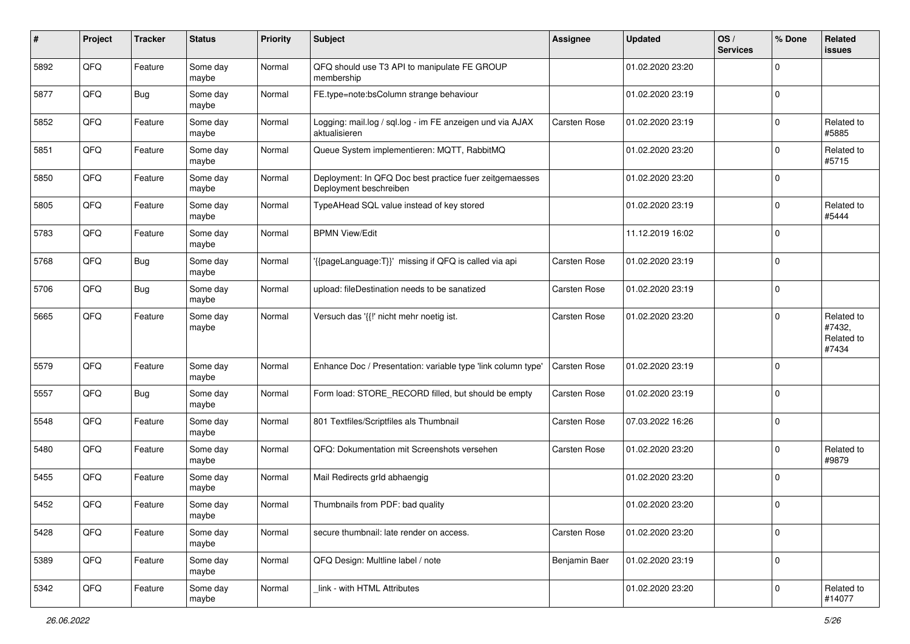| #    | Project | <b>Tracker</b> | <b>Status</b>     | <b>Priority</b> | Subject                                                                           | Assignee            | <b>Updated</b>   | OS/<br><b>Services</b> | % Done      | <b>Related</b><br><b>issues</b>             |
|------|---------|----------------|-------------------|-----------------|-----------------------------------------------------------------------------------|---------------------|------------------|------------------------|-------------|---------------------------------------------|
| 5892 | QFQ     | Feature        | Some day<br>maybe | Normal          | QFQ should use T3 API to manipulate FE GROUP<br>membership                        |                     | 01.02.2020 23:20 |                        | $\mathbf 0$ |                                             |
| 5877 | QFQ     | <b>Bug</b>     | Some day<br>maybe | Normal          | FE.type=note:bsColumn strange behaviour                                           |                     | 01.02.2020 23:19 |                        | $\mathbf 0$ |                                             |
| 5852 | QFQ     | Feature        | Some day<br>maybe | Normal          | Logging: mail.log / sql.log - im FE anzeigen und via AJAX<br>aktualisieren        | <b>Carsten Rose</b> | 01.02.2020 23:19 |                        | $\mathbf 0$ | Related to<br>#5885                         |
| 5851 | QFQ     | Feature        | Some day<br>maybe | Normal          | Queue System implementieren: MQTT, RabbitMQ                                       |                     | 01.02.2020 23:20 |                        | $\mathbf 0$ | Related to<br>#5715                         |
| 5850 | QFQ     | Feature        | Some day<br>maybe | Normal          | Deployment: In QFQ Doc best practice fuer zeitgemaesses<br>Deployment beschreiben |                     | 01.02.2020 23:20 |                        | $\mathbf 0$ |                                             |
| 5805 | QFQ     | Feature        | Some day<br>maybe | Normal          | TypeAHead SQL value instead of key stored                                         |                     | 01.02.2020 23:19 |                        | $\mathbf 0$ | Related to<br>#5444                         |
| 5783 | QFQ     | Feature        | Some day<br>maybe | Normal          | <b>BPMN View/Edit</b>                                                             |                     | 11.12.2019 16:02 |                        | $\mathbf 0$ |                                             |
| 5768 | QFQ     | <b>Bug</b>     | Some day<br>maybe | Normal          | '{{pageLanguage:T}}' missing if QFQ is called via api                             | Carsten Rose        | 01.02.2020 23:19 |                        | $\mathbf 0$ |                                             |
| 5706 | QFQ     | <b>Bug</b>     | Some day<br>maybe | Normal          | upload: fileDestination needs to be sanatized                                     | <b>Carsten Rose</b> | 01.02.2020 23:19 |                        | $\mathbf 0$ |                                             |
| 5665 | QFQ     | Feature        | Some day<br>maybe | Normal          | Versuch das '{{!' nicht mehr noetig ist.                                          | Carsten Rose        | 01.02.2020 23:20 |                        | $\Omega$    | Related to<br>#7432,<br>Related to<br>#7434 |
| 5579 | QFQ     | Feature        | Some day<br>maybe | Normal          | Enhance Doc / Presentation: variable type 'link column type'                      | <b>Carsten Rose</b> | 01.02.2020 23:19 |                        | $\mathbf 0$ |                                             |
| 5557 | QFQ     | <b>Bug</b>     | Some day<br>maybe | Normal          | Form load: STORE_RECORD filled, but should be empty                               | <b>Carsten Rose</b> | 01.02.2020 23:19 |                        | $\mathbf 0$ |                                             |
| 5548 | QFQ     | Feature        | Some day<br>maybe | Normal          | 801 Textfiles/Scriptfiles als Thumbnail                                           | Carsten Rose        | 07.03.2022 16:26 |                        | $\mathbf 0$ |                                             |
| 5480 | QFQ     | Feature        | Some day<br>maybe | Normal          | QFQ: Dokumentation mit Screenshots versehen                                       | <b>Carsten Rose</b> | 01.02.2020 23:20 |                        | $\mathbf 0$ | Related to<br>#9879                         |
| 5455 | QFQ     | Feature        | Some day<br>maybe | Normal          | Mail Redirects grld abhaengig                                                     |                     | 01.02.2020 23:20 |                        | $\mathbf 0$ |                                             |
| 5452 | QFQ     | Feature        | Some day<br>maybe | Normal          | Thumbnails from PDF: bad quality                                                  |                     | 01.02.2020 23:20 |                        | $\mathbf 0$ |                                             |
| 5428 | QFQ     | Feature        | Some day<br>maybe | Normal          | secure thumbnail: late render on access.                                          | Carsten Rose        | 01.02.2020 23:20 |                        | $\mathbf 0$ |                                             |
| 5389 | QFQ     | Feature        | Some day<br>maybe | Normal          | QFQ Design: Multline label / note                                                 | Benjamin Baer       | 01.02.2020 23:19 |                        | $\mathbf 0$ |                                             |
| 5342 | QFQ     | Feature        | Some day<br>maybe | Normal          | link - with HTML Attributes                                                       |                     | 01.02.2020 23:20 |                        | $\mathbf 0$ | Related to<br>#14077                        |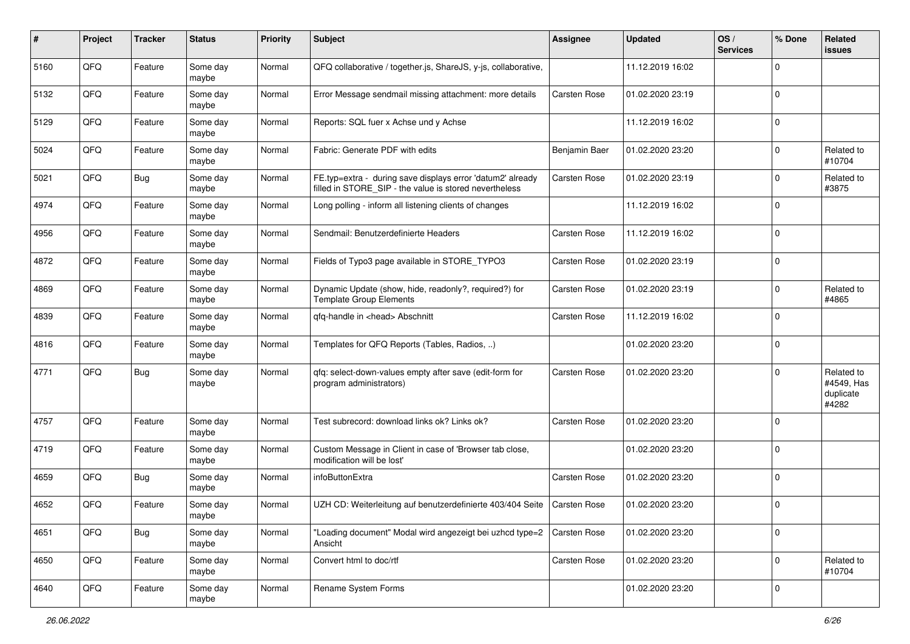| $\pmb{\#}$ | Project | <b>Tracker</b> | <b>Status</b>     | <b>Priority</b> | Subject                                                                                                              | Assignee            | <b>Updated</b>   | OS/<br><b>Services</b> | % Done      | <b>Related</b><br>issues                       |
|------------|---------|----------------|-------------------|-----------------|----------------------------------------------------------------------------------------------------------------------|---------------------|------------------|------------------------|-------------|------------------------------------------------|
| 5160       | QFQ     | Feature        | Some day<br>maybe | Normal          | QFQ collaborative / together.js, ShareJS, y-js, collaborative,                                                       |                     | 11.12.2019 16:02 |                        | $\mathbf 0$ |                                                |
| 5132       | QFQ     | Feature        | Some day<br>maybe | Normal          | Error Message sendmail missing attachment: more details                                                              | <b>Carsten Rose</b> | 01.02.2020 23:19 |                        | $\mathbf 0$ |                                                |
| 5129       | QFQ     | Feature        | Some dav<br>maybe | Normal          | Reports: SQL fuer x Achse und y Achse                                                                                |                     | 11.12.2019 16:02 |                        | $\mathbf 0$ |                                                |
| 5024       | QFQ     | Feature        | Some day<br>maybe | Normal          | Fabric: Generate PDF with edits                                                                                      | Benjamin Baer       | 01.02.2020 23:20 |                        | $\mathbf 0$ | Related to<br>#10704                           |
| 5021       | QFQ     | <b>Bug</b>     | Some day<br>maybe | Normal          | FE.typ=extra - during save displays error 'datum2' already<br>filled in STORE SIP - the value is stored nevertheless | Carsten Rose        | 01.02.2020 23:19 |                        | $\mathbf 0$ | Related to<br>#3875                            |
| 4974       | QFQ     | Feature        | Some day<br>maybe | Normal          | Long polling - inform all listening clients of changes                                                               |                     | 11.12.2019 16:02 |                        | $\Omega$    |                                                |
| 4956       | QFQ     | Feature        | Some day<br>maybe | Normal          | Sendmail: Benutzerdefinierte Headers                                                                                 | Carsten Rose        | 11.12.2019 16:02 |                        | $\mathbf 0$ |                                                |
| 4872       | QFQ     | Feature        | Some day<br>maybe | Normal          | Fields of Typo3 page available in STORE_TYPO3                                                                        | Carsten Rose        | 01.02.2020 23:19 |                        | $\mathbf 0$ |                                                |
| 4869       | QFQ     | Feature        | Some day<br>maybe | Normal          | Dynamic Update (show, hide, readonly?, required?) for<br><b>Template Group Elements</b>                              | Carsten Rose        | 01.02.2020 23:19 |                        | $\mathbf 0$ | Related to<br>#4865                            |
| 4839       | QFQ     | Feature        | Some day<br>maybe | Normal          | gfg-handle in <head> Abschnitt</head>                                                                                | Carsten Rose        | 11.12.2019 16:02 |                        | $\mathbf 0$ |                                                |
| 4816       | QFQ     | Feature        | Some day<br>maybe | Normal          | Templates for QFQ Reports (Tables, Radios, )                                                                         |                     | 01.02.2020 23:20 |                        | $\mathbf 0$ |                                                |
| 4771       | QFQ     | <b>Bug</b>     | Some day<br>maybe | Normal          | qfq: select-down-values empty after save (edit-form for<br>program administrators)                                   | Carsten Rose        | 01.02.2020 23:20 |                        | $\mathbf 0$ | Related to<br>#4549, Has<br>duplicate<br>#4282 |
| 4757       | QFQ     | Feature        | Some day<br>maybe | Normal          | Test subrecord: download links ok? Links ok?                                                                         | Carsten Rose        | 01.02.2020 23:20 |                        | $\mathbf 0$ |                                                |
| 4719       | QFQ     | Feature        | Some day<br>maybe | Normal          | Custom Message in Client in case of 'Browser tab close,<br>modification will be lost'                                |                     | 01.02.2020 23:20 |                        | $\mathbf 0$ |                                                |
| 4659       | QFQ     | <b>Bug</b>     | Some day<br>maybe | Normal          | infoButtonExtra                                                                                                      | Carsten Rose        | 01.02.2020 23:20 |                        | $\mathbf 0$ |                                                |
| 4652       | QFQ     | Feature        | Some day<br>maybe | Normal          | UZH CD: Weiterleitung auf benutzerdefinierte 403/404 Seite                                                           | <b>Carsten Rose</b> | 01.02.2020 23:20 |                        | $\mathbf 0$ |                                                |
| 4651       | QFQ     | <b>Bug</b>     | Some day<br>maybe | Normal          | "Loading document" Modal wird angezeigt bei uzhcd type=2<br>Ansicht                                                  | <b>Carsten Rose</b> | 01.02.2020 23:20 |                        | $\mathbf 0$ |                                                |
| 4650       | QFQ     | Feature        | Some day<br>maybe | Normal          | Convert html to doc/rtf                                                                                              | Carsten Rose        | 01.02.2020 23:20 |                        | $\mathbf 0$ | Related to<br>#10704                           |
| 4640       | QFG     | Feature        | Some day<br>maybe | Normal          | Rename System Forms                                                                                                  |                     | 01.02.2020 23:20 |                        | $\mathbf 0$ |                                                |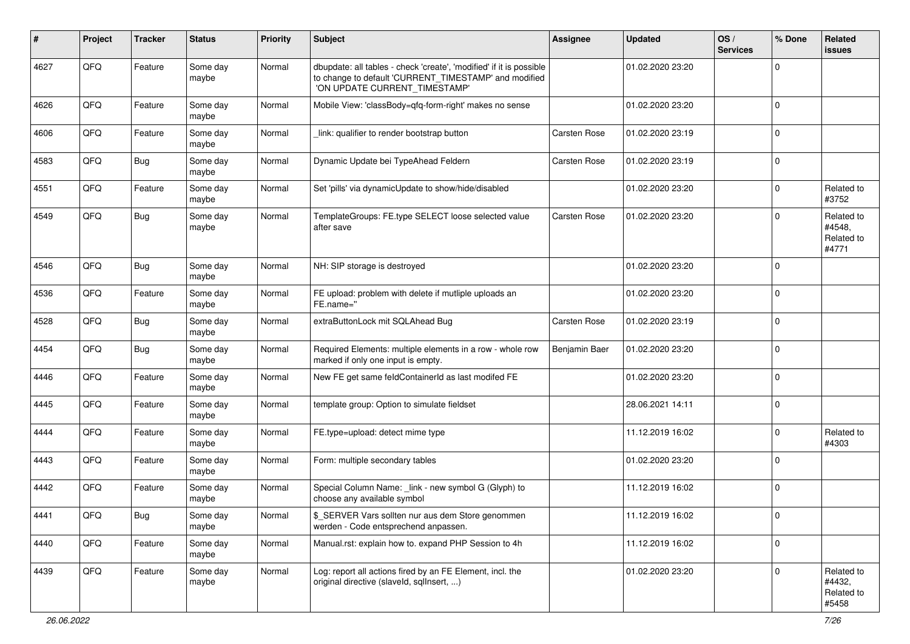| #    | Project | <b>Tracker</b> | <b>Status</b>     | <b>Priority</b> | Subject                                                                                                                                                       | <b>Assignee</b>     | <b>Updated</b>   | OS/<br><b>Services</b> | % Done       | Related<br><b>issues</b>                    |
|------|---------|----------------|-------------------|-----------------|---------------------------------------------------------------------------------------------------------------------------------------------------------------|---------------------|------------------|------------------------|--------------|---------------------------------------------|
| 4627 | QFQ     | Feature        | Some day<br>maybe | Normal          | dbupdate: all tables - check 'create', 'modified' if it is possible<br>to change to default 'CURRENT_TIMESTAMP' and modified<br>'ON UPDATE CURRENT TIMESTAMP' |                     | 01.02.2020 23:20 |                        | $\Omega$     |                                             |
| 4626 | QFQ     | Feature        | Some day<br>maybe | Normal          | Mobile View: 'classBody=qfq-form-right' makes no sense                                                                                                        |                     | 01.02.2020 23:20 |                        | $\Omega$     |                                             |
| 4606 | QFQ     | Feature        | Some day<br>maybe | Normal          | link: qualifier to render bootstrap button                                                                                                                    | <b>Carsten Rose</b> | 01.02.2020 23:19 |                        | $\Omega$     |                                             |
| 4583 | QFQ     | <b>Bug</b>     | Some day<br>maybe | Normal          | Dynamic Update bei TypeAhead Feldern                                                                                                                          | <b>Carsten Rose</b> | 01.02.2020 23:19 |                        | $\Omega$     |                                             |
| 4551 | QFQ     | Feature        | Some day<br>maybe | Normal          | Set 'pills' via dynamicUpdate to show/hide/disabled                                                                                                           |                     | 01.02.2020 23:20 |                        | $\mathbf 0$  | Related to<br>#3752                         |
| 4549 | QFQ     | <b>Bug</b>     | Some day<br>maybe | Normal          | TemplateGroups: FE.type SELECT loose selected value<br>after save                                                                                             | <b>Carsten Rose</b> | 01.02.2020 23:20 |                        | $\Omega$     | Related to<br>#4548,<br>Related to<br>#4771 |
| 4546 | QFQ     | Bug            | Some day<br>maybe | Normal          | NH: SIP storage is destroyed                                                                                                                                  |                     | 01.02.2020 23:20 |                        | $\Omega$     |                                             |
| 4536 | QFQ     | Feature        | Some day<br>maybe | Normal          | FE upload: problem with delete if mutliple uploads an<br>FE.name="                                                                                            |                     | 01.02.2020 23:20 |                        | $\Omega$     |                                             |
| 4528 | QFQ     | <b>Bug</b>     | Some day<br>maybe | Normal          | extraButtonLock mit SQLAhead Bug                                                                                                                              | <b>Carsten Rose</b> | 01.02.2020 23:19 |                        | $\Omega$     |                                             |
| 4454 | QFQ     | <b>Bug</b>     | Some day<br>maybe | Normal          | Required Elements: multiple elements in a row - whole row<br>marked if only one input is empty.                                                               | Benjamin Baer       | 01.02.2020 23:20 |                        | $\mathbf{0}$ |                                             |
| 4446 | QFQ     | Feature        | Some day<br>maybe | Normal          | New FE get same feldContainerId as last modifed FE                                                                                                            |                     | 01.02.2020 23:20 |                        | l 0          |                                             |
| 4445 | QFQ     | Feature        | Some day<br>maybe | Normal          | template group: Option to simulate fieldset                                                                                                                   |                     | 28.06.2021 14:11 |                        | l 0          |                                             |
| 4444 | QFQ     | Feature        | Some day<br>maybe | Normal          | FE.type=upload: detect mime type                                                                                                                              |                     | 11.12.2019 16:02 |                        | $\mathbf{0}$ | Related to<br>#4303                         |
| 4443 | QFQ     | Feature        | Some day<br>maybe | Normal          | Form: multiple secondary tables                                                                                                                               |                     | 01.02.2020 23:20 |                        | $\Omega$     |                                             |
| 4442 | QFQ     | Feature        | Some day<br>maybe | Normal          | Special Column Name: _link - new symbol G (Glyph) to<br>choose any available symbol                                                                           |                     | 11.12.2019 16:02 |                        | $\mathbf{0}$ |                                             |
| 4441 | QFQ     | <b>Bug</b>     | Some day<br>maybe | Normal          | \$_SERVER Vars sollten nur aus dem Store genommen<br>werden - Code entsprechend anpassen.                                                                     |                     | 11.12.2019 16:02 |                        | 0            |                                             |
| 4440 | QFQ     | Feature        | Some day<br>maybe | Normal          | Manual.rst: explain how to. expand PHP Session to 4h                                                                                                          |                     | 11.12.2019 16:02 |                        | $\Omega$     |                                             |
| 4439 | QFQ     | Feature        | Some day<br>maybe | Normal          | Log: report all actions fired by an FE Element, incl. the<br>original directive (slaveld, sqlInsert, )                                                        |                     | 01.02.2020 23:20 |                        | $\mathbf{0}$ | Related to<br>#4432,<br>Related to<br>#5458 |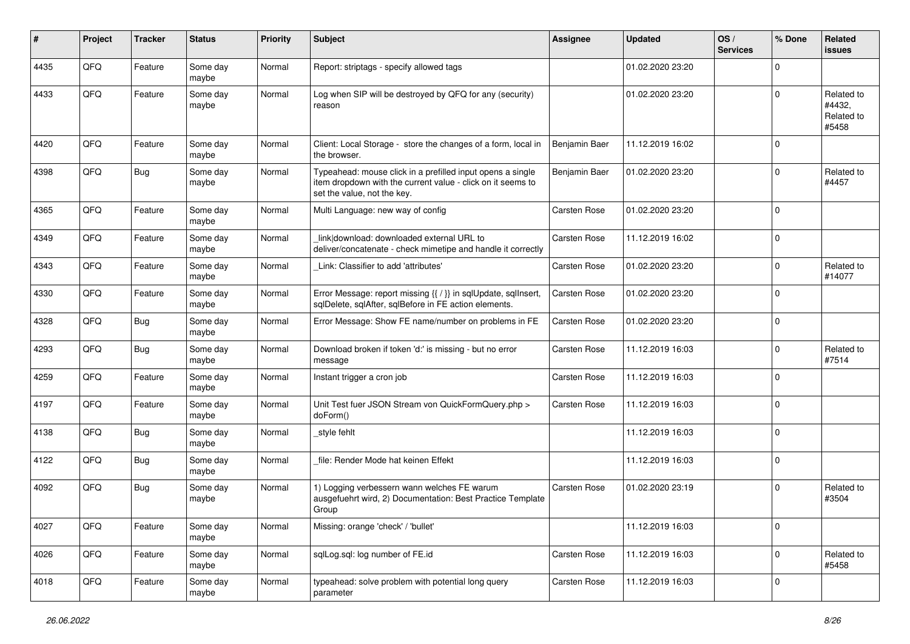| #    | Project | <b>Tracker</b> | <b>Status</b>     | <b>Priority</b> | <b>Subject</b>                                                                                                                                           | <b>Assignee</b>     | <b>Updated</b>   | OS/<br><b>Services</b> | % Done      | <b>Related</b><br><b>issues</b>             |
|------|---------|----------------|-------------------|-----------------|----------------------------------------------------------------------------------------------------------------------------------------------------------|---------------------|------------------|------------------------|-------------|---------------------------------------------|
| 4435 | QFQ     | Feature        | Some day<br>maybe | Normal          | Report: striptags - specify allowed tags                                                                                                                 |                     | 01.02.2020 23:20 |                        | $\Omega$    |                                             |
| 4433 | QFQ     | Feature        | Some day<br>maybe | Normal          | Log when SIP will be destroyed by QFQ for any (security)<br>reason                                                                                       |                     | 01.02.2020 23:20 |                        | $\Omega$    | Related to<br>#4432,<br>Related to<br>#5458 |
| 4420 | QFQ     | Feature        | Some day<br>maybe | Normal          | Client: Local Storage - store the changes of a form, local in<br>the browser.                                                                            | Benjamin Baer       | 11.12.2019 16:02 |                        | $\mathbf 0$ |                                             |
| 4398 | QFQ     | Bug            | Some day<br>maybe | Normal          | Typeahead: mouse click in a prefilled input opens a single<br>item dropdown with the current value - click on it seems to<br>set the value, not the key. | Benjamin Baer       | 01.02.2020 23:20 |                        | $\mathbf 0$ | Related to<br>#4457                         |
| 4365 | QFQ     | Feature        | Some day<br>maybe | Normal          | Multi Language: new way of config                                                                                                                        | <b>Carsten Rose</b> | 01.02.2020 23:20 |                        | $\mathbf 0$ |                                             |
| 4349 | QFQ     | Feature        | Some day<br>maybe | Normal          | link download: downloaded external URL to<br>deliver/concatenate - check mimetipe and handle it correctly                                                | <b>Carsten Rose</b> | 11.12.2019 16:02 |                        | $\mathbf 0$ |                                             |
| 4343 | QFQ     | Feature        | Some day<br>maybe | Normal          | Link: Classifier to add 'attributes'                                                                                                                     | <b>Carsten Rose</b> | 01.02.2020 23:20 |                        | $\mathbf 0$ | Related to<br>#14077                        |
| 4330 | QFQ     | Feature        | Some day<br>maybe | Normal          | Error Message: report missing {{ / }} in sqlUpdate, sqlInsert,<br>sqlDelete, sqlAfter, sqlBefore in FE action elements.                                  | <b>Carsten Rose</b> | 01.02.2020 23:20 |                        | $\mathbf 0$ |                                             |
| 4328 | QFQ     | <b>Bug</b>     | Some day<br>maybe | Normal          | Error Message: Show FE name/number on problems in FE                                                                                                     | <b>Carsten Rose</b> | 01.02.2020 23:20 |                        | $\mathbf 0$ |                                             |
| 4293 | QFQ     | <b>Bug</b>     | Some day<br>maybe | Normal          | Download broken if token 'd:' is missing - but no error<br>message                                                                                       | Carsten Rose        | 11.12.2019 16:03 |                        | $\Omega$    | Related to<br>#7514                         |
| 4259 | QFQ     | Feature        | Some day<br>maybe | Normal          | Instant trigger a cron job                                                                                                                               | <b>Carsten Rose</b> | 11.12.2019 16:03 |                        | $\mathbf 0$ |                                             |
| 4197 | QFQ     | Feature        | Some day<br>maybe | Normal          | Unit Test fuer JSON Stream von QuickFormQuery.php ><br>doForm()                                                                                          | <b>Carsten Rose</b> | 11.12.2019 16:03 |                        | $\mathbf 0$ |                                             |
| 4138 | QFQ     | <b>Bug</b>     | Some day<br>maybe | Normal          | style fehlt                                                                                                                                              |                     | 11.12.2019 16:03 |                        | $\mathbf 0$ |                                             |
| 4122 | QFQ     | Bug            | Some day<br>maybe | Normal          | file: Render Mode hat keinen Effekt                                                                                                                      |                     | 11.12.2019 16:03 |                        | $\mathbf 0$ |                                             |
| 4092 | QFQ     | <b>Bug</b>     | Some day<br>maybe | Normal          | 1) Logging verbessern wann welches FE warum<br>ausgefuehrt wird, 2) Documentation: Best Practice Template<br>Group                                       | <b>Carsten Rose</b> | 01.02.2020 23:19 |                        | $\mathbf 0$ | Related to<br>#3504                         |
| 4027 | QFQ     | Feature        | Some day<br>maybe | Normal          | Missing: orange 'check' / 'bullet'                                                                                                                       |                     | 11.12.2019 16:03 |                        | $\mathbf 0$ |                                             |
| 4026 | QFQ     | Feature        | Some day<br>maybe | Normal          | sqlLog.sql: log number of FE.id                                                                                                                          | Carsten Rose        | 11.12.2019 16:03 |                        | $\mathbf 0$ | Related to<br>#5458                         |
| 4018 | QFQ     | Feature        | Some day<br>maybe | Normal          | typeahead: solve problem with potential long query<br>parameter                                                                                          | Carsten Rose        | 11.12.2019 16:03 |                        | $\mathbf 0$ |                                             |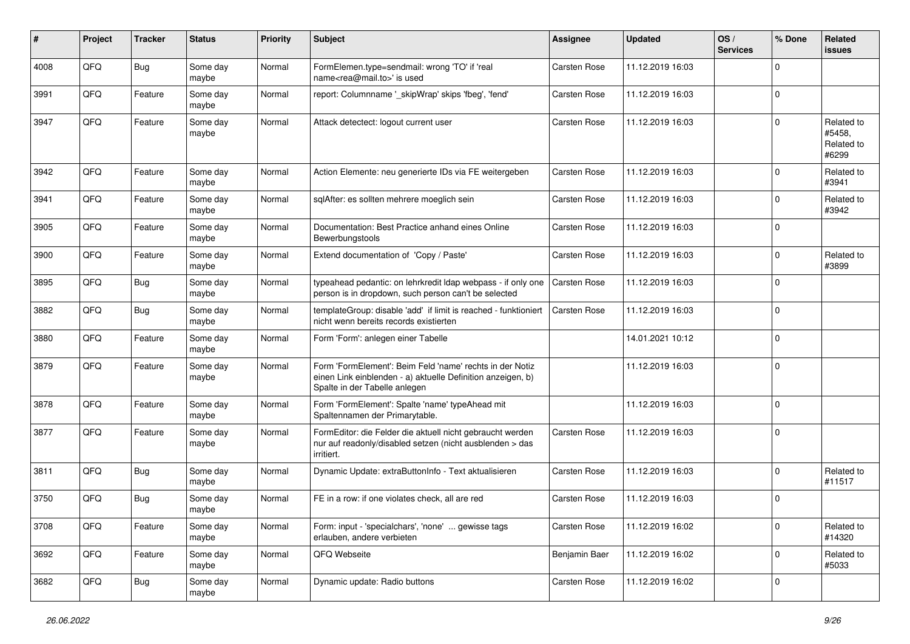| #    | Project | <b>Tracker</b> | <b>Status</b>     | <b>Priority</b> | <b>Subject</b>                                                                                                                                           | <b>Assignee</b>     | <b>Updated</b>   | OS/<br><b>Services</b> | % Done      | <b>Related</b><br><b>issues</b>             |
|------|---------|----------------|-------------------|-----------------|----------------------------------------------------------------------------------------------------------------------------------------------------------|---------------------|------------------|------------------------|-------------|---------------------------------------------|
| 4008 | QFQ     | <b>Bug</b>     | Some day<br>maybe | Normal          | FormElemen.type=sendmail: wrong 'TO' if 'real<br>name <rea@mail.to>' is used</rea@mail.to>                                                               | <b>Carsten Rose</b> | 11.12.2019 16:03 |                        | $\Omega$    |                                             |
| 3991 | QFQ     | Feature        | Some day<br>maybe | Normal          | report: Columnname '_skipWrap' skips 'fbeg', 'fend'                                                                                                      | <b>Carsten Rose</b> | 11.12.2019 16:03 |                        | $\mathbf 0$ |                                             |
| 3947 | QFQ     | Feature        | Some day<br>maybe | Normal          | Attack detectect: logout current user                                                                                                                    | <b>Carsten Rose</b> | 11.12.2019 16:03 |                        | $\Omega$    | Related to<br>#5458,<br>Related to<br>#6299 |
| 3942 | QFQ     | Feature        | Some day<br>maybe | Normal          | Action Elemente: neu generierte IDs via FE weitergeben                                                                                                   | <b>Carsten Rose</b> | 11.12.2019 16:03 |                        | $\mathbf 0$ | Related to<br>#3941                         |
| 3941 | QFQ     | Feature        | Some day<br>maybe | Normal          | sqlAfter: es sollten mehrere moeglich sein                                                                                                               | Carsten Rose        | 11.12.2019 16:03 |                        | $\mathbf 0$ | Related to<br>#3942                         |
| 3905 | QFQ     | Feature        | Some day<br>maybe | Normal          | Documentation: Best Practice anhand eines Online<br>Bewerbungstools                                                                                      | <b>Carsten Rose</b> | 11.12.2019 16:03 |                        | $\mathbf 0$ |                                             |
| 3900 | QFQ     | Feature        | Some day<br>maybe | Normal          | Extend documentation of 'Copy / Paste'                                                                                                                   | Carsten Rose        | 11.12.2019 16:03 |                        | $\mathbf 0$ | Related to<br>#3899                         |
| 3895 | QFQ     | <b>Bug</b>     | Some day<br>maybe | Normal          | typeahead pedantic: on lehrkredit Idap webpass - if only one<br>person is in dropdown, such person can't be selected                                     | Carsten Rose        | 11.12.2019 16:03 |                        | $\mathbf 0$ |                                             |
| 3882 | QFQ     | <b>Bug</b>     | Some day<br>maybe | Normal          | templateGroup: disable 'add' if limit is reached - funktioniert<br>nicht wenn bereits records existierten                                                | <b>Carsten Rose</b> | 11.12.2019 16:03 |                        | $\mathbf 0$ |                                             |
| 3880 | QFQ     | Feature        | Some day<br>maybe | Normal          | Form 'Form': anlegen einer Tabelle                                                                                                                       |                     | 14.01.2021 10:12 |                        | $\mathbf 0$ |                                             |
| 3879 | QFQ     | Feature        | Some day<br>maybe | Normal          | Form 'FormElement': Beim Feld 'name' rechts in der Notiz<br>einen Link einblenden - a) aktuelle Definition anzeigen, b)<br>Spalte in der Tabelle anlegen |                     | 11.12.2019 16:03 |                        | $\mathbf 0$ |                                             |
| 3878 | QFQ     | Feature        | Some day<br>maybe | Normal          | Form 'FormElement': Spalte 'name' typeAhead mit<br>Spaltennamen der Primarytable.                                                                        |                     | 11.12.2019 16:03 |                        | $\mathbf 0$ |                                             |
| 3877 | QFQ     | Feature        | Some day<br>maybe | Normal          | FormEditor: die Felder die aktuell nicht gebraucht werden<br>nur auf readonly/disabled setzen (nicht ausblenden > das<br>irritiert.                      | <b>Carsten Rose</b> | 11.12.2019 16:03 |                        | $\mathbf 0$ |                                             |
| 3811 | QFQ     | <b>Bug</b>     | Some day<br>maybe | Normal          | Dynamic Update: extraButtonInfo - Text aktualisieren                                                                                                     | <b>Carsten Rose</b> | 11.12.2019 16:03 |                        | $\mathbf 0$ | Related to<br>#11517                        |
| 3750 | QFQ     | <b>Bug</b>     | Some day<br>maybe | Normal          | FE in a row: if one violates check, all are red                                                                                                          | <b>Carsten Rose</b> | 11.12.2019 16:03 |                        | $\mathbf 0$ |                                             |
| 3708 | QFQ     | Feature        | Some day<br>maybe | Normal          | Form: input - 'specialchars', 'none'  gewisse tags<br>erlauben, andere verbieten                                                                         | Carsten Rose        | 11.12.2019 16:02 |                        | $\mathbf 0$ | Related to<br>#14320                        |
| 3692 | QFQ     | Feature        | Some day<br>maybe | Normal          | QFQ Webseite                                                                                                                                             | Benjamin Baer       | 11.12.2019 16:02 |                        | $\mathbf 0$ | Related to<br>#5033                         |
| 3682 | QFQ     | <b>Bug</b>     | Some day<br>maybe | Normal          | Dynamic update: Radio buttons                                                                                                                            | Carsten Rose        | 11.12.2019 16:02 |                        | $\mathbf 0$ |                                             |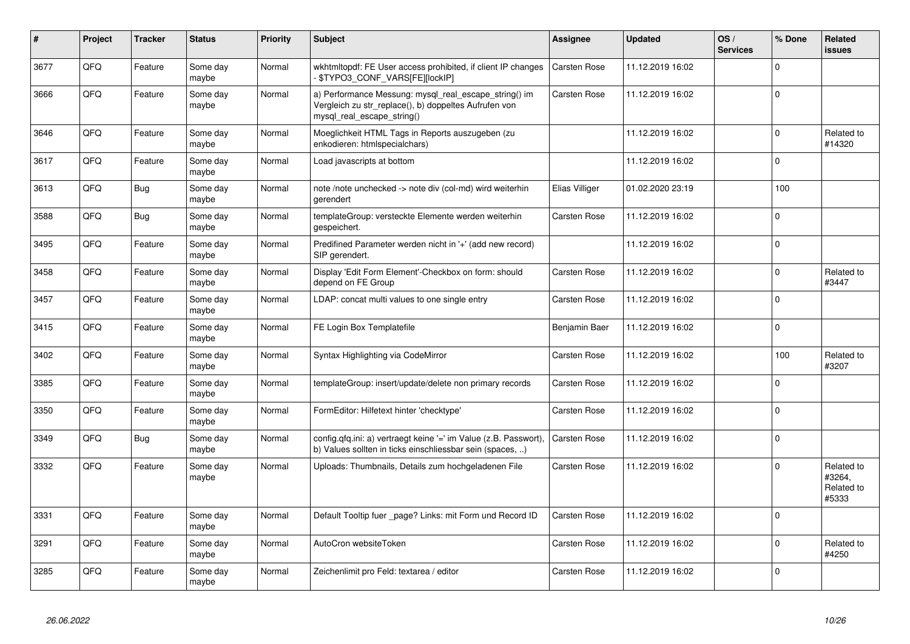| #    | <b>Project</b> | <b>Tracker</b> | <b>Status</b>     | <b>Priority</b> | <b>Subject</b>                                                                                                                               | <b>Assignee</b>     | <b>Updated</b>   | OS/<br><b>Services</b> | % Done      | Related<br><b>issues</b>                    |
|------|----------------|----------------|-------------------|-----------------|----------------------------------------------------------------------------------------------------------------------------------------------|---------------------|------------------|------------------------|-------------|---------------------------------------------|
| 3677 | QFQ            | Feature        | Some day<br>maybe | Normal          | wkhtmitopdf: FE User access prohibited, if client IP changes<br>- \$TYPO3_CONF_VARS[FE][lockIP]                                              | Carsten Rose        | 11.12.2019 16:02 |                        | $\Omega$    |                                             |
| 3666 | QFQ            | Feature        | Some day<br>maybe | Normal          | a) Performance Messung: mysql_real_escape_string() im<br>Vergleich zu str replace(), b) doppeltes Aufrufen von<br>mysql_real_escape_string() | <b>Carsten Rose</b> | 11.12.2019 16:02 |                        | $\Omega$    |                                             |
| 3646 | QFQ            | Feature        | Some day<br>maybe | Normal          | Moeglichkeit HTML Tags in Reports auszugeben (zu<br>enkodieren: htmlspecialchars)                                                            |                     | 11.12.2019 16:02 |                        | $\Omega$    | Related to<br>#14320                        |
| 3617 | QFQ            | Feature        | Some day<br>maybe | Normal          | Load javascripts at bottom                                                                                                                   |                     | 11.12.2019 16:02 |                        | $\mathbf 0$ |                                             |
| 3613 | QFQ            | <b>Bug</b>     | Some day<br>maybe | Normal          | note /note unchecked -> note div (col-md) wird weiterhin<br>gerendert                                                                        | Elias Villiger      | 01.02.2020 23:19 |                        | 100         |                                             |
| 3588 | QFQ            | <b>Bug</b>     | Some day<br>maybe | Normal          | templateGroup: versteckte Elemente werden weiterhin<br>gespeichert.                                                                          | Carsten Rose        | 11.12.2019 16:02 |                        | $\Omega$    |                                             |
| 3495 | QFQ            | Feature        | Some day<br>maybe | Normal          | Predifined Parameter werden nicht in '+' (add new record)<br>SIP gerendert.                                                                  |                     | 11.12.2019 16:02 |                        | $\Omega$    |                                             |
| 3458 | QFQ            | Feature        | Some day<br>maybe | Normal          | Display 'Edit Form Element'-Checkbox on form: should<br>depend on FE Group                                                                   | <b>Carsten Rose</b> | 11.12.2019 16:02 |                        | $\mathbf 0$ | Related to<br>#3447                         |
| 3457 | QFQ            | Feature        | Some day<br>maybe | Normal          | LDAP: concat multi values to one single entry                                                                                                | <b>Carsten Rose</b> | 11.12.2019 16:02 |                        | $\Omega$    |                                             |
| 3415 | QFQ            | Feature        | Some day<br>maybe | Normal          | FE Login Box Templatefile                                                                                                                    | Benjamin Baer       | 11.12.2019 16:02 |                        | $\mathbf 0$ |                                             |
| 3402 | QFQ            | Feature        | Some day<br>maybe | Normal          | Syntax Highlighting via CodeMirror                                                                                                           | <b>Carsten Rose</b> | 11.12.2019 16:02 |                        | 100         | Related to<br>#3207                         |
| 3385 | QFQ            | Feature        | Some day<br>maybe | Normal          | templateGroup: insert/update/delete non primary records                                                                                      | <b>Carsten Rose</b> | 11.12.2019 16:02 |                        | $\Omega$    |                                             |
| 3350 | QFQ            | Feature        | Some day<br>maybe | Normal          | FormEditor: Hilfetext hinter 'checktype'                                                                                                     | Carsten Rose        | 11.12.2019 16:02 |                        | $\Omega$    |                                             |
| 3349 | QFQ            | <b>Bug</b>     | Some day<br>maybe | Normal          | config.qfq.ini: a) vertraegt keine '=' im Value (z.B. Passwort),<br>b) Values sollten in ticks einschliessbar sein (spaces, )                | <b>Carsten Rose</b> | 11.12.2019 16:02 |                        | $\Omega$    |                                             |
| 3332 | QFQ            | Feature        | Some day<br>maybe | Normal          | Uploads: Thumbnails, Details zum hochgeladenen File                                                                                          | <b>Carsten Rose</b> | 11.12.2019 16:02 |                        | $\mathbf 0$ | Related to<br>#3264.<br>Related to<br>#5333 |
| 3331 | QFQ            | Feature        | Some day<br>maybe | Normal          | Default Tooltip fuer page? Links: mit Form und Record ID                                                                                     | <b>Carsten Rose</b> | 11.12.2019 16:02 |                        | $\Omega$    |                                             |
| 3291 | QFQ            | Feature        | Some day<br>maybe | Normal          | AutoCron websiteToken                                                                                                                        | <b>Carsten Rose</b> | 11.12.2019 16:02 |                        | $\Omega$    | Related to<br>#4250                         |
| 3285 | QFQ            | Feature        | Some day<br>maybe | Normal          | Zeichenlimit pro Feld: textarea / editor                                                                                                     | <b>Carsten Rose</b> | 11.12.2019 16:02 |                        | $\Omega$    |                                             |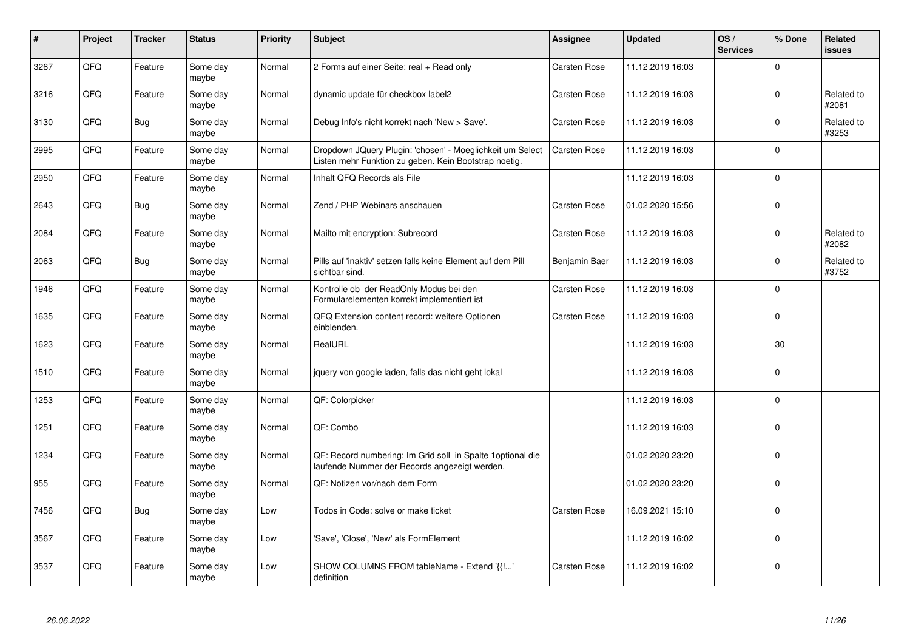| $\vert$ # | Project | <b>Tracker</b> | <b>Status</b>     | <b>Priority</b> | <b>Subject</b>                                                                                                     | <b>Assignee</b>     | <b>Updated</b>   | OS/<br><b>Services</b> | % Done      | <b>Related</b><br><b>issues</b> |
|-----------|---------|----------------|-------------------|-----------------|--------------------------------------------------------------------------------------------------------------------|---------------------|------------------|------------------------|-------------|---------------------------------|
| 3267      | QFQ     | Feature        | Some day<br>maybe | Normal          | 2 Forms auf einer Seite: real + Read only                                                                          | <b>Carsten Rose</b> | 11.12.2019 16:03 |                        | $\Omega$    |                                 |
| 3216      | QFQ     | Feature        | Some day<br>maybe | Normal          | dynamic update für checkbox label2                                                                                 | Carsten Rose        | 11.12.2019 16:03 |                        | $\Omega$    | Related to<br>#2081             |
| 3130      | QFQ     | <b>Bug</b>     | Some day<br>maybe | Normal          | Debug Info's nicht korrekt nach 'New > Save'.                                                                      | <b>Carsten Rose</b> | 11.12.2019 16:03 |                        | $\mathbf 0$ | Related to<br>#3253             |
| 2995      | QFQ     | Feature        | Some day<br>maybe | Normal          | Dropdown JQuery Plugin: 'chosen' - Moeglichkeit um Select<br>Listen mehr Funktion zu geben. Kein Bootstrap noetig. | <b>Carsten Rose</b> | 11.12.2019 16:03 |                        | $\Omega$    |                                 |
| 2950      | QFQ     | Feature        | Some day<br>maybe | Normal          | Inhalt QFQ Records als File                                                                                        |                     | 11.12.2019 16:03 |                        | $\mathbf 0$ |                                 |
| 2643      | QFQ     | Bug            | Some day<br>maybe | Normal          | Zend / PHP Webinars anschauen                                                                                      | Carsten Rose        | 01.02.2020 15:56 |                        | $\mathsf 0$ |                                 |
| 2084      | QFQ     | Feature        | Some day<br>maybe | Normal          | Mailto mit encryption: Subrecord                                                                                   | <b>Carsten Rose</b> | 11.12.2019 16:03 |                        | $\mathbf 0$ | Related to<br>#2082             |
| 2063      | QFQ     | <b>Bug</b>     | Some day<br>maybe | Normal          | Pills auf 'inaktiv' setzen falls keine Element auf dem Pill<br>sichtbar sind.                                      | Benjamin Baer       | 11.12.2019 16:03 |                        | $\Omega$    | Related to<br>#3752             |
| 1946      | QFQ     | Feature        | Some day<br>maybe | Normal          | Kontrolle ob der ReadOnly Modus bei den<br>Formularelementen korrekt implementiert ist                             | Carsten Rose        | 11.12.2019 16:03 |                        | $\mathbf 0$ |                                 |
| 1635      | QFQ     | Feature        | Some day<br>maybe | Normal          | QFQ Extension content record: weitere Optionen<br>einblenden.                                                      | Carsten Rose        | 11.12.2019 16:03 |                        | $\mathbf 0$ |                                 |
| 1623      | QFQ     | Feature        | Some day<br>maybe | Normal          | RealURL                                                                                                            |                     | 11.12.2019 16:03 |                        | 30          |                                 |
| 1510      | QFQ     | Feature        | Some day<br>maybe | Normal          | jquery von google laden, falls das nicht geht lokal                                                                |                     | 11.12.2019 16:03 |                        | $\pmb{0}$   |                                 |
| 1253      | QFQ     | Feature        | Some day<br>maybe | Normal          | QF: Colorpicker                                                                                                    |                     | 11.12.2019 16:03 |                        | $\pmb{0}$   |                                 |
| 1251      | QFQ     | Feature        | Some day<br>maybe | Normal          | QF: Combo                                                                                                          |                     | 11.12.2019 16:03 |                        | $\mathbf 0$ |                                 |
| 1234      | QFQ     | Feature        | Some day<br>maybe | Normal          | QF: Record numbering: Im Grid soll in Spalte 1 optional die<br>laufende Nummer der Records angezeigt werden.       |                     | 01.02.2020 23:20 |                        | $\Omega$    |                                 |
| 955       | QFQ     | Feature        | Some day<br>maybe | Normal          | QF: Notizen vor/nach dem Form                                                                                      |                     | 01.02.2020 23:20 |                        | $\Omega$    |                                 |
| 7456      | QFQ     | <b>Bug</b>     | Some day<br>maybe | Low             | Todos in Code: solve or make ticket                                                                                | Carsten Rose        | 16.09.2021 15:10 |                        | $\mathbf 0$ |                                 |
| 3567      | QFQ     | Feature        | Some day<br>maybe | Low             | 'Save', 'Close', 'New' als FormElement                                                                             |                     | 11.12.2019 16:02 |                        | $\mathbf 0$ |                                 |
| 3537      | QFQ     | Feature        | Some day<br>maybe | Low             | SHOW COLUMNS FROM tableName - Extend '{{!'<br>definition                                                           | <b>Carsten Rose</b> | 11.12.2019 16:02 |                        | $\mathbf 0$ |                                 |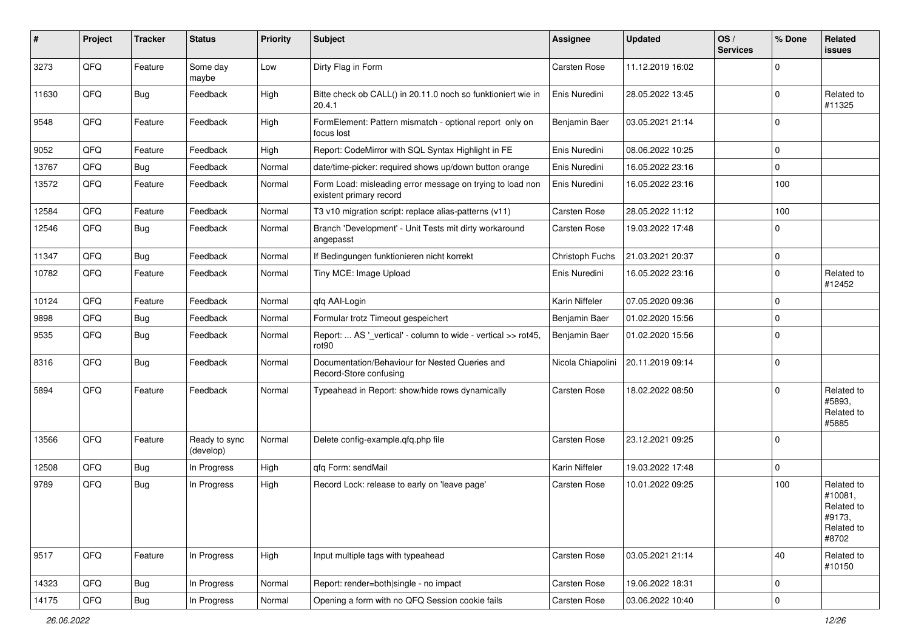| #     | Project | <b>Tracker</b> | <b>Status</b>              | <b>Priority</b> | <b>Subject</b>                                                                       | <b>Assignee</b>     | <b>Updated</b>   | OS/<br><b>Services</b> | % Done      | Related<br>issues                                                    |
|-------|---------|----------------|----------------------------|-----------------|--------------------------------------------------------------------------------------|---------------------|------------------|------------------------|-------------|----------------------------------------------------------------------|
| 3273  | QFQ     | Feature        | Some day<br>maybe          | Low             | Dirty Flag in Form                                                                   | <b>Carsten Rose</b> | 11.12.2019 16:02 |                        | $\Omega$    |                                                                      |
| 11630 | QFQ     | Bug            | Feedback                   | High            | Bitte check ob CALL() in 20.11.0 noch so funktioniert wie in<br>20.4.1               | Enis Nuredini       | 28.05.2022 13:45 |                        | $\Omega$    | Related to<br>#11325                                                 |
| 9548  | QFQ     | Feature        | Feedback                   | High            | FormElement: Pattern mismatch - optional report only on<br>focus lost                | Benjamin Baer       | 03.05.2021 21:14 |                        | $\Omega$    |                                                                      |
| 9052  | QFQ     | Feature        | Feedback                   | High            | Report: CodeMirror with SQL Syntax Highlight in FE                                   | Enis Nuredini       | 08.06.2022 10:25 |                        | $\mathbf 0$ |                                                                      |
| 13767 | QFQ     | Bug            | Feedback                   | Normal          | date/time-picker: required shows up/down button orange                               | Enis Nuredini       | 16.05.2022 23:16 |                        | $\Omega$    |                                                                      |
| 13572 | QFQ     | Feature        | Feedback                   | Normal          | Form Load: misleading error message on trying to load non<br>existent primary record | Enis Nuredini       | 16.05.2022 23:16 |                        | 100         |                                                                      |
| 12584 | QFQ     | Feature        | Feedback                   | Normal          | T3 v10 migration script: replace alias-patterns (v11)                                | Carsten Rose        | 28.05.2022 11:12 |                        | 100         |                                                                      |
| 12546 | QFQ     | <b>Bug</b>     | Feedback                   | Normal          | Branch 'Development' - Unit Tests mit dirty workaround<br>angepasst                  | Carsten Rose        | 19.03.2022 17:48 |                        | $\Omega$    |                                                                      |
| 11347 | QFQ     | Bug            | Feedback                   | Normal          | If Bedingungen funktionieren nicht korrekt                                           | Christoph Fuchs     | 21.03.2021 20:37 |                        | $\mathbf 0$ |                                                                      |
| 10782 | QFQ     | Feature        | Feedback                   | Normal          | Tiny MCE: Image Upload                                                               | Enis Nuredini       | 16.05.2022 23:16 |                        | $\Omega$    | Related to<br>#12452                                                 |
| 10124 | QFQ     | Feature        | Feedback                   | Normal          | qfq AAI-Login                                                                        | Karin Niffeler      | 07.05.2020 09:36 |                        | $\mathbf 0$ |                                                                      |
| 9898  | QFQ     | <b>Bug</b>     | Feedback                   | Normal          | Formular trotz Timeout gespeichert                                                   | Benjamin Baer       | 01.02.2020 15:56 |                        | $\mathbf 0$ |                                                                      |
| 9535  | QFQ     | <b>Bug</b>     | Feedback                   | Normal          | Report:  AS '_vertical' - column to wide - vertical >> rot45,<br>rot <sub>90</sub>   | Benjamin Baer       | 01.02.2020 15:56 |                        | $\Omega$    |                                                                      |
| 8316  | QFQ     | Bug            | Feedback                   | Normal          | Documentation/Behaviour for Nested Queries and<br>Record-Store confusing             | Nicola Chiapolini   | 20.11.2019 09:14 |                        | $\Omega$    |                                                                      |
| 5894  | QFQ     | Feature        | Feedback                   | Normal          | Typeahead in Report: show/hide rows dynamically                                      | <b>Carsten Rose</b> | 18.02.2022 08:50 |                        | $\Omega$    | Related to<br>#5893,<br>Related to<br>#5885                          |
| 13566 | QFQ     | Feature        | Ready to sync<br>(develop) | Normal          | Delete config-example.qfq.php file                                                   | Carsten Rose        | 23.12.2021 09:25 |                        | $\Omega$    |                                                                      |
| 12508 | QFQ     | Bug            | In Progress                | High            | qfq Form: sendMail                                                                   | Karin Niffeler      | 19.03.2022 17:48 |                        | $\Omega$    |                                                                      |
| 9789  | QFQ     | Bug            | In Progress                | High            | Record Lock: release to early on 'leave page'                                        | <b>Carsten Rose</b> | 10.01.2022 09:25 |                        | 100         | Related to<br>#10081,<br>Related to<br>#9173,<br>Related to<br>#8702 |
| 9517  | QFQ     | Feature        | In Progress                | High            | Input multiple tags with typeahead                                                   | Carsten Rose        | 03.05.2021 21:14 |                        | 40          | Related to<br>#10150                                                 |
| 14323 | QFQ     | <b>Bug</b>     | In Progress                | Normal          | Report: render=both single - no impact                                               | Carsten Rose        | 19.06.2022 18:31 |                        | 0           |                                                                      |
| 14175 | QFQ     | <b>Bug</b>     | In Progress                | Normal          | Opening a form with no QFQ Session cookie fails                                      | Carsten Rose        | 03.06.2022 10:40 |                        | $\mathbf 0$ |                                                                      |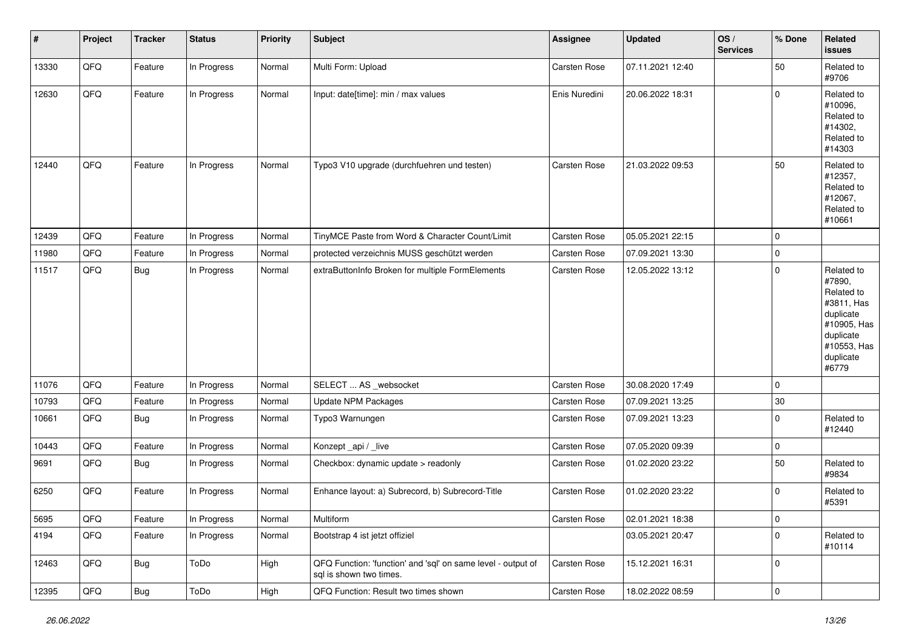| $\pmb{\#}$ | Project | <b>Tracker</b> | <b>Status</b> | <b>Priority</b> | Subject                                                                                 | Assignee            | <b>Updated</b>   | OS/<br><b>Services</b> | % Done      | Related<br><b>issues</b>                                                                                                       |
|------------|---------|----------------|---------------|-----------------|-----------------------------------------------------------------------------------------|---------------------|------------------|------------------------|-------------|--------------------------------------------------------------------------------------------------------------------------------|
| 13330      | QFQ     | Feature        | In Progress   | Normal          | Multi Form: Upload                                                                      | <b>Carsten Rose</b> | 07.11.2021 12:40 |                        | 50          | Related to<br>#9706                                                                                                            |
| 12630      | QFQ     | Feature        | In Progress   | Normal          | Input: date[time]: min / max values                                                     | Enis Nuredini       | 20.06.2022 18:31 |                        | $\mathbf 0$ | Related to<br>#10096,<br>Related to<br>#14302,<br>Related to<br>#14303                                                         |
| 12440      | QFQ     | Feature        | In Progress   | Normal          | Typo3 V10 upgrade (durchfuehren und testen)                                             | Carsten Rose        | 21.03.2022 09:53 |                        | 50          | Related to<br>#12357,<br>Related to<br>#12067,<br>Related to<br>#10661                                                         |
| 12439      | QFQ     | Feature        | In Progress   | Normal          | TinyMCE Paste from Word & Character Count/Limit                                         | Carsten Rose        | 05.05.2021 22:15 |                        | $\mathbf 0$ |                                                                                                                                |
| 11980      | QFQ     | Feature        | In Progress   | Normal          | protected verzeichnis MUSS geschützt werden                                             | Carsten Rose        | 07.09.2021 13:30 |                        | $\pmb{0}$   |                                                                                                                                |
| 11517      | QFQ     | <b>Bug</b>     | In Progress   | Normal          | extraButtonInfo Broken for multiple FormElements                                        | <b>Carsten Rose</b> | 12.05.2022 13:12 |                        | $\mathbf 0$ | Related to<br>#7890,<br>Related to<br>#3811, Has<br>duplicate<br>#10905, Has<br>duplicate<br>#10553, Has<br>duplicate<br>#6779 |
| 11076      | QFQ     | Feature        | In Progress   | Normal          | SELECT  AS _websocket                                                                   | Carsten Rose        | 30.08.2020 17:49 |                        | $\mathbf 0$ |                                                                                                                                |
| 10793      | QFQ     | Feature        | In Progress   | Normal          | <b>Update NPM Packages</b>                                                              | Carsten Rose        | 07.09.2021 13:25 |                        | 30          |                                                                                                                                |
| 10661      | QFQ     | <b>Bug</b>     | In Progress   | Normal          | Typo3 Warnungen                                                                         | <b>Carsten Rose</b> | 07.09.2021 13:23 |                        | $\mathbf 0$ | Related to<br>#12440                                                                                                           |
| 10443      | QFQ     | Feature        | In Progress   | Normal          | Konzept_api / _live                                                                     | Carsten Rose        | 07.05.2020 09:39 |                        | $\pmb{0}$   |                                                                                                                                |
| 9691       | QFQ     | Bug            | In Progress   | Normal          | Checkbox: dynamic update > readonly                                                     | Carsten Rose        | 01.02.2020 23:22 |                        | 50          | Related to<br>#9834                                                                                                            |
| 6250       | QFQ     | Feature        | In Progress   | Normal          | Enhance layout: a) Subrecord, b) Subrecord-Title                                        | Carsten Rose        | 01.02.2020 23:22 |                        | $\mathbf 0$ | Related to<br>#5391                                                                                                            |
| 5695       | QFQ     | Feature        | In Progress   | Normal          | Multiform                                                                               | <b>Carsten Rose</b> | 02.01.2021 18:38 |                        | 0           |                                                                                                                                |
| 4194       | QFQ     | Feature        | In Progress   | Normal          | Bootstrap 4 ist jetzt offiziel                                                          |                     | 03.05.2021 20:47 |                        | $\mathbf 0$ | Related to<br>#10114                                                                                                           |
| 12463      | QFQ     | <b>Bug</b>     | ToDo          | High            | QFQ Function: 'function' and 'sql' on same level - output of<br>sal is shown two times. | Carsten Rose        | 15.12.2021 16:31 |                        | 0           |                                                                                                                                |
| 12395      | QFQ     | <b>Bug</b>     | ToDo          | High            | QFQ Function: Result two times shown                                                    | Carsten Rose        | 18.02.2022 08:59 |                        | $\pmb{0}$   |                                                                                                                                |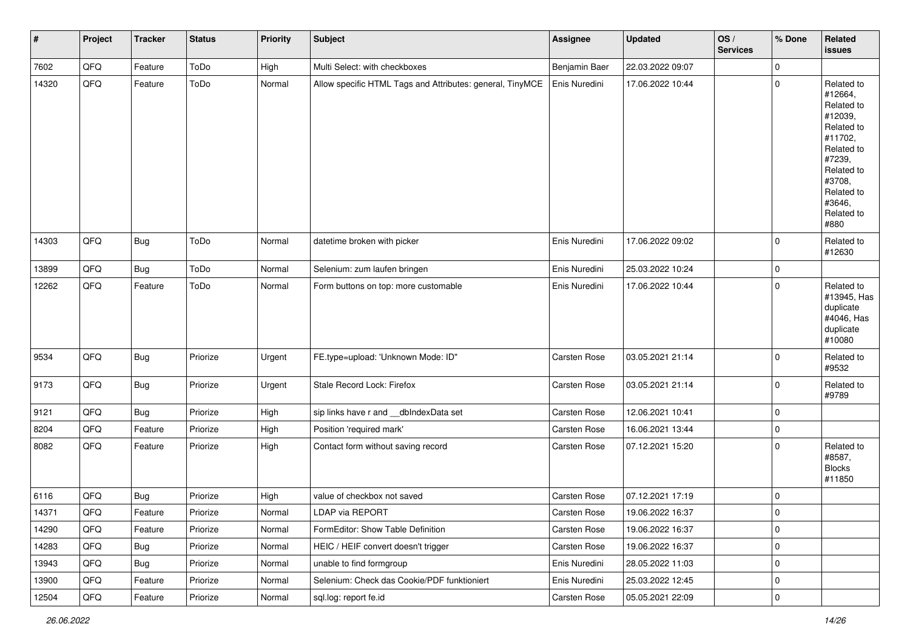| $\sharp$ | Project | <b>Tracker</b> | <b>Status</b> | <b>Priority</b> | Subject                                                   | <b>Assignee</b>     | <b>Updated</b>   | OS/<br><b>Services</b> | % Done      | <b>Related</b><br>issues                                                                                                                                              |
|----------|---------|----------------|---------------|-----------------|-----------------------------------------------------------|---------------------|------------------|------------------------|-------------|-----------------------------------------------------------------------------------------------------------------------------------------------------------------------|
| 7602     | QFQ     | Feature        | ToDo          | High            | Multi Select: with checkboxes                             | Benjamin Baer       | 22.03.2022 09:07 |                        | $\mathbf 0$ |                                                                                                                                                                       |
| 14320    | QFQ     | Feature        | ToDo          | Normal          | Allow specific HTML Tags and Attributes: general, TinyMCE | Enis Nuredini       | 17.06.2022 10:44 |                        | $\mathbf 0$ | Related to<br>#12664,<br>Related to<br>#12039,<br>Related to<br>#11702,<br>Related to<br>#7239,<br>Related to<br>#3708,<br>Related to<br>#3646,<br>Related to<br>#880 |
| 14303    | QFQ     | Bug            | ToDo          | Normal          | datetime broken with picker                               | Enis Nuredini       | 17.06.2022 09:02 |                        | $\mathbf 0$ | Related to<br>#12630                                                                                                                                                  |
| 13899    | QFQ     | <b>Bug</b>     | ToDo          | Normal          | Selenium: zum laufen bringen                              | Enis Nuredini       | 25.03.2022 10:24 |                        | $\mathbf 0$ |                                                                                                                                                                       |
| 12262    | QFQ     | Feature        | ToDo          | Normal          | Form buttons on top: more customable                      | Enis Nuredini       | 17.06.2022 10:44 |                        | $\mathbf 0$ | Related to<br>#13945, Has<br>duplicate<br>#4046, Has<br>duplicate<br>#10080                                                                                           |
| 9534     | QFQ     | <b>Bug</b>     | Priorize      | Urgent          | FE.type=upload: 'Unknown Mode: ID"                        | Carsten Rose        | 03.05.2021 21:14 |                        | $\mathbf 0$ | Related to<br>#9532                                                                                                                                                   |
| 9173     | QFQ     | <b>Bug</b>     | Priorize      | Urgent          | Stale Record Lock: Firefox                                | Carsten Rose        | 03.05.2021 21:14 |                        | $\mathbf 0$ | Related to<br>#9789                                                                                                                                                   |
| 9121     | QFQ     | <b>Bug</b>     | Priorize      | High            | sip links have r and __dbIndexData set                    | Carsten Rose        | 12.06.2021 10:41 |                        | $\mathbf 0$ |                                                                                                                                                                       |
| 8204     | QFQ     | Feature        | Priorize      | High            | Position 'required mark'                                  | Carsten Rose        | 16.06.2021 13:44 |                        | $\mathbf 0$ |                                                                                                                                                                       |
| 8082     | QFQ     | Feature        | Priorize      | High            | Contact form without saving record                        | Carsten Rose        | 07.12.2021 15:20 |                        | $\mathbf 0$ | Related to<br>#8587,<br><b>Blocks</b><br>#11850                                                                                                                       |
| 6116     | QFQ     | <b>Bug</b>     | Priorize      | High            | value of checkbox not saved                               | Carsten Rose        | 07.12.2021 17:19 |                        | $\mathbf 0$ |                                                                                                                                                                       |
| 14371    | QFQ     | Feature        | Priorize      | Normal          | LDAP via REPORT                                           | <b>Carsten Rose</b> | 19.06.2022 16:37 |                        | $\Omega$    |                                                                                                                                                                       |
| 14290    | QFQ     | Feature        | Priorize      | Normal          | FormEditor: Show Table Definition                         | Carsten Rose        | 19.06.2022 16:37 |                        | $\mathbf 0$ |                                                                                                                                                                       |
| 14283    | QFQ     | <b>Bug</b>     | Priorize      | Normal          | HEIC / HEIF convert doesn't trigger                       | <b>Carsten Rose</b> | 19.06.2022 16:37 |                        | $\mathbf 0$ |                                                                                                                                                                       |
| 13943    | QFQ     | <b>Bug</b>     | Priorize      | Normal          | unable to find formgroup                                  | Enis Nuredini       | 28.05.2022 11:03 |                        | $\mathbf 0$ |                                                                                                                                                                       |
| 13900    | QFQ     | Feature        | Priorize      | Normal          | Selenium: Check das Cookie/PDF funktioniert               | Enis Nuredini       | 25.03.2022 12:45 |                        | $\mathbf 0$ |                                                                                                                                                                       |
| 12504    | QFG     | Feature        | Priorize      | Normal          | sql.log: report fe.id                                     | Carsten Rose        | 05.05.2021 22:09 |                        | 0           |                                                                                                                                                                       |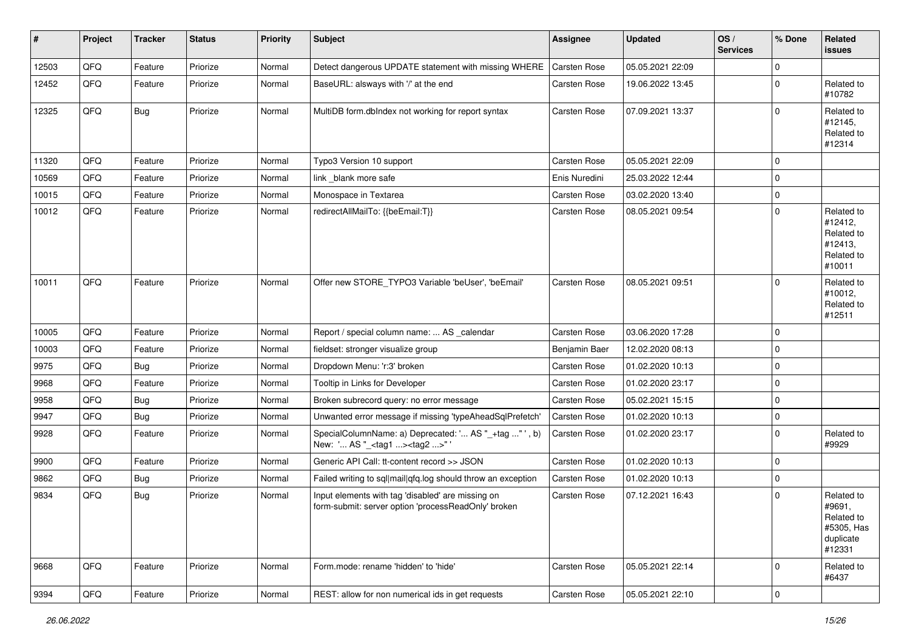| #     | Project | <b>Tracker</b> | <b>Status</b> | <b>Priority</b> | Subject                                                                                                  | <b>Assignee</b>     | <b>Updated</b>   | OS/<br><b>Services</b> | % Done         | Related<br><b>issues</b>                                                |
|-------|---------|----------------|---------------|-----------------|----------------------------------------------------------------------------------------------------------|---------------------|------------------|------------------------|----------------|-------------------------------------------------------------------------|
| 12503 | QFQ     | Feature        | Priorize      | Normal          | Detect dangerous UPDATE statement with missing WHERE                                                     | Carsten Rose        | 05.05.2021 22:09 |                        | $\mathbf 0$    |                                                                         |
| 12452 | QFQ     | Feature        | Priorize      | Normal          | BaseURL: alsways with '/' at the end                                                                     | <b>Carsten Rose</b> | 19.06.2022 13:45 |                        | $\Omega$       | Related to<br>#10782                                                    |
| 12325 | QFQ     | <b>Bug</b>     | Priorize      | Normal          | MultiDB form.dblndex not working for report syntax                                                       | Carsten Rose        | 07.09.2021 13:37 |                        | $\mathbf 0$    | Related to<br>#12145,<br>Related to<br>#12314                           |
| 11320 | QFQ     | Feature        | Priorize      | Normal          | Typo3 Version 10 support                                                                                 | <b>Carsten Rose</b> | 05.05.2021 22:09 |                        | $\mathbf 0$    |                                                                         |
| 10569 | QFQ     | Feature        | Priorize      | Normal          | link blank more safe                                                                                     | Enis Nuredini       | 25.03.2022 12:44 |                        | $\mathbf 0$    |                                                                         |
| 10015 | QFQ     | Feature        | Priorize      | Normal          | Monospace in Textarea                                                                                    | Carsten Rose        | 03.02.2020 13:40 |                        | $\mathbf 0$    |                                                                         |
| 10012 | QFQ     | Feature        | Priorize      | Normal          | redirectAllMailTo: {{beEmail:T}}                                                                         | <b>Carsten Rose</b> | 08.05.2021 09:54 |                        | $\mathbf 0$    | Related to<br>#12412,<br>Related to<br>#12413,<br>Related to<br>#10011  |
| 10011 | QFQ     | Feature        | Priorize      | Normal          | Offer new STORE_TYPO3 Variable 'beUser', 'beEmail'                                                       | <b>Carsten Rose</b> | 08.05.2021 09:51 |                        | $\mathbf 0$    | Related to<br>#10012,<br>Related to<br>#12511                           |
| 10005 | QFQ     | Feature        | Priorize      | Normal          | Report / special column name:  AS _calendar                                                              | Carsten Rose        | 03.06.2020 17:28 |                        | $\mathbf 0$    |                                                                         |
| 10003 | QFQ     | Feature        | Priorize      | Normal          | fieldset: stronger visualize group                                                                       | Benjamin Baer       | 12.02.2020 08:13 |                        | $\Omega$       |                                                                         |
| 9975  | QFQ     | <b>Bug</b>     | Priorize      | Normal          | Dropdown Menu: 'r:3' broken                                                                              | <b>Carsten Rose</b> | 01.02.2020 10:13 |                        | $\overline{0}$ |                                                                         |
| 9968  | QFQ     | Feature        | Priorize      | Normal          | Tooltip in Links for Developer                                                                           | Carsten Rose        | 01.02.2020 23:17 |                        | 0              |                                                                         |
| 9958  | QFQ     | <b>Bug</b>     | Priorize      | Normal          | Broken subrecord query: no error message                                                                 | Carsten Rose        | 05.02.2021 15:15 |                        | $\mathbf 0$    |                                                                         |
| 9947  | QFQ     | Bug            | Priorize      | Normal          | Unwanted error message if missing 'typeAheadSqlPrefetch'                                                 | Carsten Rose        | 01.02.2020 10:13 |                        | 0              |                                                                         |
| 9928  | QFQ     | Feature        | Priorize      | Normal          | SpecialColumnName: a) Deprecated: ' AS "_+tag " ', b)<br>New: ' AS "_ <tag1><tag2>"</tag2></tag1>        | <b>Carsten Rose</b> | 01.02.2020 23:17 |                        | $\Omega$       | Related to<br>#9929                                                     |
| 9900  | QFQ     | Feature        | Priorize      | Normal          | Generic API Call: tt-content record >> JSON                                                              | <b>Carsten Rose</b> | 01.02.2020 10:13 |                        | $\mathbf 0$    |                                                                         |
| 9862  | QFQ     | <b>Bug</b>     | Priorize      | Normal          | Failed writing to sql mail qfq.log should throw an exception                                             | Carsten Rose        | 01.02.2020 10:13 |                        | $\mathbf 0$    |                                                                         |
| 9834  | QFQ     | <b>Bug</b>     | Priorize      | Normal          | Input elements with tag 'disabled' are missing on<br>form-submit: server option 'processReadOnly' broken | <b>Carsten Rose</b> | 07.12.2021 16:43 |                        | $\Omega$       | Related to<br>#9691,<br>Related to<br>#5305, Has<br>duplicate<br>#12331 |
| 9668  | QFQ     | Feature        | Priorize      | Normal          | Form.mode: rename 'hidden' to 'hide'                                                                     | <b>Carsten Rose</b> | 05.05.2021 22:14 |                        | $\mathbf 0$    | Related to<br>#6437                                                     |
| 9394  | QFG     | Feature        | Priorize      | Normal          | REST: allow for non numerical ids in get requests                                                        | Carsten Rose        | 05.05.2021 22:10 |                        | $\overline{0}$ |                                                                         |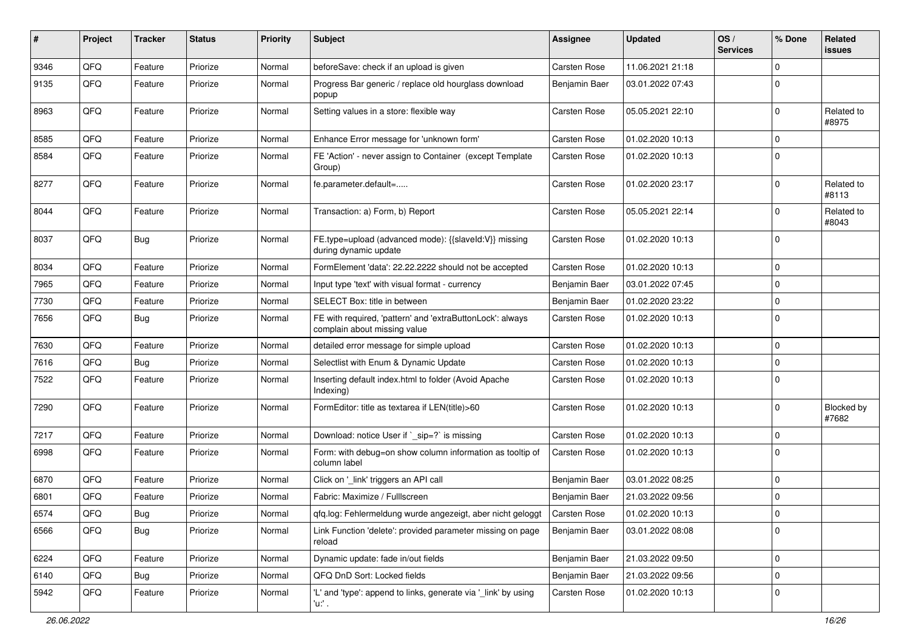| #    | Project | <b>Tracker</b> | <b>Status</b> | <b>Priority</b> | Subject                                                                                   | <b>Assignee</b>     | <b>Updated</b>   | OS/<br><b>Services</b> | % Done      | Related<br>issues   |
|------|---------|----------------|---------------|-----------------|-------------------------------------------------------------------------------------------|---------------------|------------------|------------------------|-------------|---------------------|
| 9346 | QFQ     | Feature        | Priorize      | Normal          | beforeSave: check if an upload is given                                                   | <b>Carsten Rose</b> | 11.06.2021 21:18 |                        | $\Omega$    |                     |
| 9135 | QFQ     | Feature        | Priorize      | Normal          | Progress Bar generic / replace old hourglass download<br>popup                            | Benjamin Baer       | 03.01.2022 07:43 |                        | $\Omega$    |                     |
| 8963 | QFQ     | Feature        | Priorize      | Normal          | Setting values in a store: flexible way                                                   | Carsten Rose        | 05.05.2021 22:10 |                        | $\Omega$    | Related to<br>#8975 |
| 8585 | QFQ     | Feature        | Priorize      | Normal          | Enhance Error message for 'unknown form'                                                  | <b>Carsten Rose</b> | 01.02.2020 10:13 |                        | $\Omega$    |                     |
| 8584 | QFQ     | Feature        | Priorize      | Normal          | FE 'Action' - never assign to Container (except Template<br>Group)                        | <b>Carsten Rose</b> | 01.02.2020 10:13 |                        | $\Omega$    |                     |
| 8277 | QFQ     | Feature        | Priorize      | Normal          | fe.parameter.default=                                                                     | <b>Carsten Rose</b> | 01.02.2020 23:17 |                        | $\Omega$    | Related to<br>#8113 |
| 8044 | QFQ     | Feature        | Priorize      | Normal          | Transaction: a) Form, b) Report                                                           | <b>Carsten Rose</b> | 05.05.2021 22:14 |                        | $\Omega$    | Related to<br>#8043 |
| 8037 | QFQ     | Bug            | Priorize      | Normal          | FE.type=upload (advanced mode): {{slaveld:V}} missing<br>during dynamic update            | <b>Carsten Rose</b> | 01.02.2020 10:13 |                        | $\Omega$    |                     |
| 8034 | QFQ     | Feature        | Priorize      | Normal          | FormElement 'data': 22.22.2222 should not be accepted                                     | <b>Carsten Rose</b> | 01.02.2020 10:13 |                        | $\Omega$    |                     |
| 7965 | QFQ     | Feature        | Priorize      | Normal          | Input type 'text' with visual format - currency                                           | Benjamin Baer       | 03.01.2022 07:45 |                        | 0           |                     |
| 7730 | QFQ     | Feature        | Priorize      | Normal          | SELECT Box: title in between                                                              | Benjamin Baer       | 01.02.2020 23:22 |                        | $\mathbf 0$ |                     |
| 7656 | QFQ     | <b>Bug</b>     | Priorize      | Normal          | FE with required, 'pattern' and 'extraButtonLock': always<br>complain about missing value | <b>Carsten Rose</b> | 01.02.2020 10:13 |                        | $\Omega$    |                     |
| 7630 | QFQ     | Feature        | Priorize      | Normal          | detailed error message for simple upload                                                  | <b>Carsten Rose</b> | 01.02.2020 10:13 |                        | $\Omega$    |                     |
| 7616 | QFQ     | <b>Bug</b>     | Priorize      | Normal          | Selectlist with Enum & Dynamic Update                                                     | <b>Carsten Rose</b> | 01.02.2020 10:13 |                        | $\mathbf 0$ |                     |
| 7522 | QFQ     | Feature        | Priorize      | Normal          | Inserting default index.html to folder (Avoid Apache<br>Indexing)                         | <b>Carsten Rose</b> | 01.02.2020 10:13 |                        | $\mathbf 0$ |                     |
| 7290 | QFQ     | Feature        | Priorize      | Normal          | FormEditor: title as textarea if LEN(title)>60                                            | <b>Carsten Rose</b> | 01.02.2020 10:13 |                        | $\Omega$    | Blocked by<br>#7682 |
| 7217 | QFQ     | Feature        | Priorize      | Normal          | Download: notice User if `_sip=?` is missing                                              | <b>Carsten Rose</b> | 01.02.2020 10:13 |                        | $\Omega$    |                     |
| 6998 | QFQ     | Feature        | Priorize      | Normal          | Form: with debug=on show column information as tooltip of<br>column label                 | <b>Carsten Rose</b> | 01.02.2020 10:13 |                        | $\Omega$    |                     |
| 6870 | QFQ     | Feature        | Priorize      | Normal          | Click on '_link' triggers an API call                                                     | Benjamin Baer       | 03.01.2022 08:25 |                        | $\mathbf 0$ |                     |
| 6801 | QFQ     | Feature        | Priorize      | Normal          | Fabric: Maximize / FullIscreen                                                            | Benjamin Baer       | 21.03.2022 09:56 |                        | $\mathbf 0$ |                     |
| 6574 | QFQ     | <b>Bug</b>     | Priorize      | Normal          | qfq.log: Fehlermeldung wurde angezeigt, aber nicht geloggt                                | Carsten Rose        | 01.02.2020 10:13 |                        | $\mathbf 0$ |                     |
| 6566 | QFQ     | <b>Bug</b>     | Priorize      | Normal          | Link Function 'delete': provided parameter missing on page<br>reload                      | Benjamin Baer       | 03.01.2022 08:08 |                        | $\mathbf 0$ |                     |
| 6224 | QFQ     | Feature        | Priorize      | Normal          | Dynamic update: fade in/out fields                                                        | Benjamin Baer       | 21.03.2022 09:50 |                        | $\mathbf 0$ |                     |
| 6140 | QFQ     | <b>Bug</b>     | Priorize      | Normal          | QFQ DnD Sort: Locked fields                                                               | Benjamin Baer       | 21.03.2022 09:56 |                        | $\mathbf 0$ |                     |
| 5942 | QFQ     | Feature        | Priorize      | Normal          | 'L' and 'type': append to links, generate via '_link' by using<br>$'u$ .                  | Carsten Rose        | 01.02.2020 10:13 |                        | $\mathbf 0$ |                     |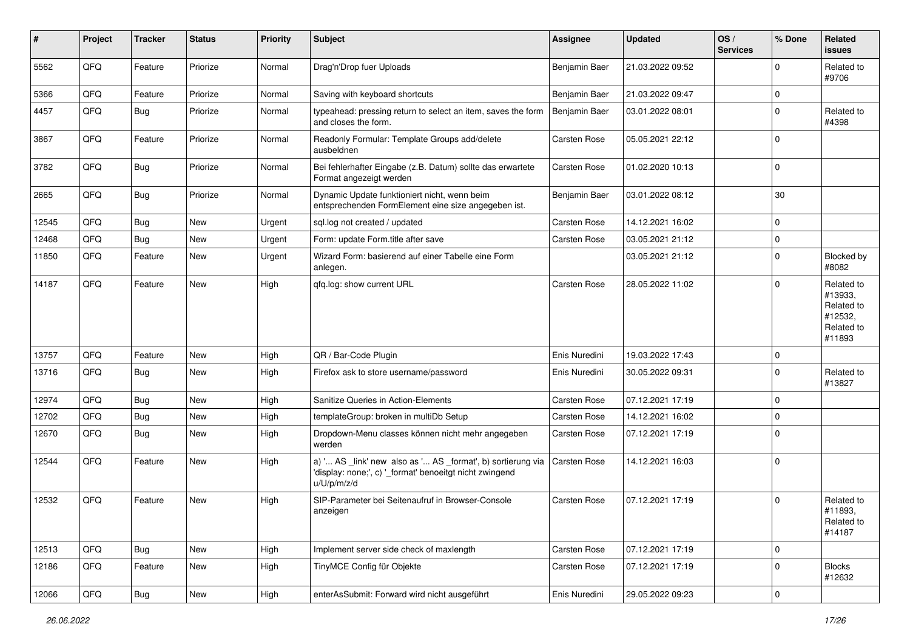| #     | Project | <b>Tracker</b> | <b>Status</b> | Priority | <b>Subject</b>                                                                                                                        | <b>Assignee</b>     | <b>Updated</b>   | OS/<br><b>Services</b> | % Done              | <b>Related</b><br><b>issues</b>                                        |
|-------|---------|----------------|---------------|----------|---------------------------------------------------------------------------------------------------------------------------------------|---------------------|------------------|------------------------|---------------------|------------------------------------------------------------------------|
| 5562  | QFQ     | Feature        | Priorize      | Normal   | Drag'n'Drop fuer Uploads                                                                                                              | Benjamin Baer       | 21.03.2022 09:52 |                        | $\mathbf 0$         | Related to<br>#9706                                                    |
| 5366  | QFQ     | Feature        | Priorize      | Normal   | Saving with keyboard shortcuts                                                                                                        | Benjamin Baer       | 21.03.2022 09:47 |                        | $\mathbf 0$         |                                                                        |
| 4457  | QFQ     | <b>Bug</b>     | Priorize      | Normal   | typeahead: pressing return to select an item, saves the form<br>and closes the form.                                                  | Benjamin Baer       | 03.01.2022 08:01 |                        | $\mathbf 0$         | Related to<br>#4398                                                    |
| 3867  | QFQ     | Feature        | Priorize      | Normal   | Readonly Formular: Template Groups add/delete<br>ausbeldnen                                                                           | <b>Carsten Rose</b> | 05.05.2021 22:12 |                        | $\mathbf 0$         |                                                                        |
| 3782  | QFQ     | <b>Bug</b>     | Priorize      | Normal   | Bei fehlerhafter Eingabe (z.B. Datum) sollte das erwartete<br>Format angezeigt werden                                                 | <b>Carsten Rose</b> | 01.02.2020 10:13 |                        | $\mathbf 0$         |                                                                        |
| 2665  | QFQ     | <b>Bug</b>     | Priorize      | Normal   | Dynamic Update funktioniert nicht, wenn beim<br>entsprechenden FormElement eine size angegeben ist.                                   | Benjamin Baer       | 03.01.2022 08:12 |                        | 30                  |                                                                        |
| 12545 | QFQ     | <b>Bug</b>     | New           | Urgent   | sql.log not created / updated                                                                                                         | <b>Carsten Rose</b> | 14.12.2021 16:02 |                        | $\mathbf 0$         |                                                                        |
| 12468 | QFQ     | <b>Bug</b>     | <b>New</b>    | Urgent   | Form: update Form.title after save                                                                                                    | Carsten Rose        | 03.05.2021 21:12 |                        | $\mathbf 0$         |                                                                        |
| 11850 | QFQ     | Feature        | New           | Urgent   | Wizard Form: basierend auf einer Tabelle eine Form<br>anlegen.                                                                        |                     | 03.05.2021 21:12 |                        | $\mathbf 0$         | Blocked by<br>#8082                                                    |
| 14187 | QFQ     | Feature        | <b>New</b>    | High     | qfq.log: show current URL                                                                                                             | <b>Carsten Rose</b> | 28.05.2022 11:02 |                        | $\Omega$            | Related to<br>#13933,<br>Related to<br>#12532,<br>Related to<br>#11893 |
| 13757 | QFQ     | Feature        | New           | High     | QR / Bar-Code Plugin                                                                                                                  | Enis Nuredini       | 19.03.2022 17:43 |                        | $\mathbf 0$         |                                                                        |
| 13716 | QFQ     | <b>Bug</b>     | <b>New</b>    | High     | Firefox ask to store username/password                                                                                                | Enis Nuredini       | 30.05.2022 09:31 |                        | $\mathbf 0$         | Related to<br>#13827                                                   |
| 12974 | QFQ     | <b>Bug</b>     | New           | High     | Sanitize Queries in Action-Elements                                                                                                   | Carsten Rose        | 07.12.2021 17:19 |                        | $\mathbf 0$         |                                                                        |
| 12702 | QFQ     | <b>Bug</b>     | New           | High     | templateGroup: broken in multiDb Setup                                                                                                | <b>Carsten Rose</b> | 14.12.2021 16:02 |                        | $\mathbf 0$         |                                                                        |
| 12670 | QFQ     | <b>Bug</b>     | New           | High     | Dropdown-Menu classes können nicht mehr angegeben<br>werden                                                                           | Carsten Rose        | 07.12.2021 17:19 |                        | $\mathbf 0$         |                                                                        |
| 12544 | QFQ     | Feature        | New           | High     | a) ' AS _link' new also as ' AS _format', b) sortierung via<br>'display: none;', c) '_format' benoeitgt nicht zwingend<br>u/U/p/m/z/d | Carsten Rose        | 14.12.2021 16:03 |                        | $\mathbf 0$         |                                                                        |
| 12532 | QFQ     | Feature        | <b>New</b>    | High     | SIP-Parameter bei Seitenaufruf in Browser-Console<br>anzeigen                                                                         | <b>Carsten Rose</b> | 07.12.2021 17:19 |                        | $\mathbf 0$         | Related to<br>#11893,<br>Related to<br>#14187                          |
| 12513 | QFG     | Bug            | New           | High     | Implement server side check of maxlength                                                                                              | Carsten Rose        | 07.12.2021 17:19 |                        | $\mathsf{O}\xspace$ |                                                                        |
| 12186 | QFO     | Feature        | New           | High     | TinyMCE Config für Objekte                                                                                                            | Carsten Rose        | 07.12.2021 17:19 |                        | $\mathbf 0$         | <b>Blocks</b><br>#12632                                                |
| 12066 | QFG     | <b>Bug</b>     | New           | High     | enterAsSubmit: Forward wird nicht ausgeführt                                                                                          | Enis Nuredini       | 29.05.2022 09:23 |                        | 0                   |                                                                        |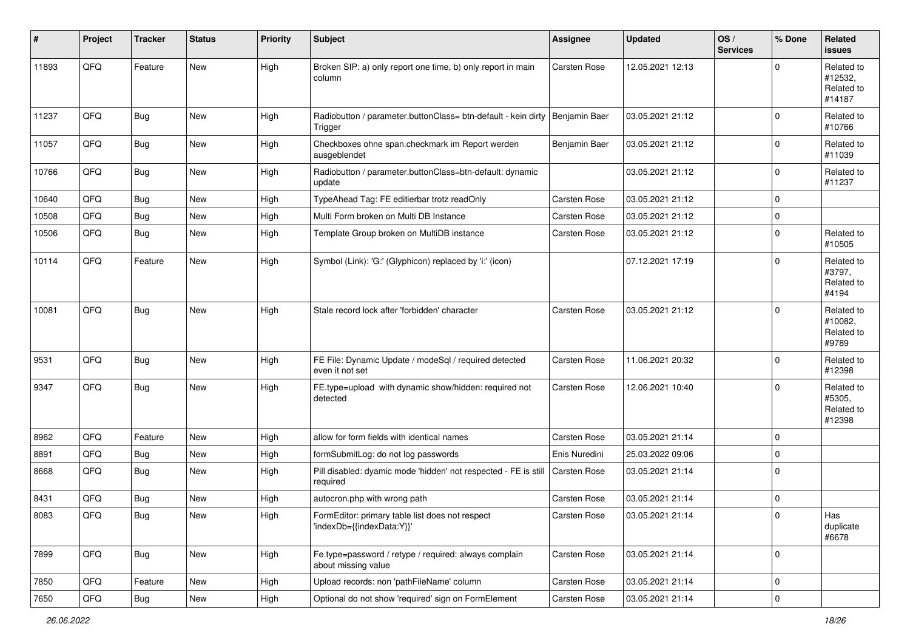| #     | Project | <b>Tracker</b> | <b>Status</b> | Priority | Subject                                                                      | Assignee            | <b>Updated</b>   | OS/<br><b>Services</b> | % Done      | Related<br><b>issues</b>                      |
|-------|---------|----------------|---------------|----------|------------------------------------------------------------------------------|---------------------|------------------|------------------------|-------------|-----------------------------------------------|
| 11893 | QFQ     | Feature        | <b>New</b>    | High     | Broken SIP: a) only report one time, b) only report in main<br>column        | Carsten Rose        | 12.05.2021 12:13 |                        | $\Omega$    | Related to<br>#12532,<br>Related to<br>#14187 |
| 11237 | QFQ     | <b>Bug</b>     | <b>New</b>    | High     | Radiobutton / parameter.buttonClass= btn-default - kein dirty<br>Trigger     | Benjamin Baer       | 03.05.2021 21:12 |                        | $\mathbf 0$ | Related to<br>#10766                          |
| 11057 | QFQ     | <b>Bug</b>     | <b>New</b>    | High     | Checkboxes ohne span.checkmark im Report werden<br>ausgeblendet              | Benjamin Baer       | 03.05.2021 21:12 |                        | $\Omega$    | Related to<br>#11039                          |
| 10766 | QFQ     | <b>Bug</b>     | New           | High     | Radiobutton / parameter.buttonClass=btn-default: dynamic<br>update           |                     | 03.05.2021 21:12 |                        | $\mathbf 0$ | Related to<br>#11237                          |
| 10640 | QFQ     | <b>Bug</b>     | <b>New</b>    | High     | TypeAhead Tag: FE editierbar trotz readOnly                                  | Carsten Rose        | 03.05.2021 21:12 |                        | $\Omega$    |                                               |
| 10508 | QFQ     | Bug            | <b>New</b>    | High     | Multi Form broken on Multi DB Instance                                       | <b>Carsten Rose</b> | 03.05.2021 21:12 |                        | $\mathbf 0$ |                                               |
| 10506 | QFQ     | <b>Bug</b>     | New           | High     | Template Group broken on MultiDB instance                                    | <b>Carsten Rose</b> | 03.05.2021 21:12 |                        | $\mathbf 0$ | Related to<br>#10505                          |
| 10114 | QFQ     | Feature        | <b>New</b>    | High     | Symbol (Link): 'G:' (Glyphicon) replaced by 'i:' (icon)                      |                     | 07.12.2021 17:19 |                        | $\Omega$    | Related to<br>#3797,<br>Related to<br>#4194   |
| 10081 | QFQ     | <b>Bug</b>     | <b>New</b>    | High     | Stale record lock after 'forbidden' character                                | <b>Carsten Rose</b> | 03.05.2021 21:12 |                        | $\Omega$    | Related to<br>#10082,<br>Related to<br>#9789  |
| 9531  | QFQ     | <b>Bug</b>     | <b>New</b>    | High     | FE File: Dynamic Update / modeSql / required detected<br>even it not set     | <b>Carsten Rose</b> | 11.06.2021 20:32 |                        | $\mathbf 0$ | Related to<br>#12398                          |
| 9347  | QFQ     | <b>Bug</b>     | New           | High     | FE.type=upload with dynamic show/hidden: required not<br>detected            | Carsten Rose        | 12.06.2021 10:40 |                        | $\Omega$    | Related to<br>#5305,<br>Related to<br>#12398  |
| 8962  | QFQ     | Feature        | New           | High     | allow for form fields with identical names                                   | Carsten Rose        | 03.05.2021 21:14 |                        | $\mathbf 0$ |                                               |
| 8891  | QFQ     | Bug            | New           | High     | formSubmitLog: do not log passwords                                          | Enis Nuredini       | 25.03.2022 09:06 |                        | $\mathbf 0$ |                                               |
| 8668  | QFQ     | <b>Bug</b>     | New           | High     | Pill disabled: dyamic mode 'hidden' not respected - FE is still<br>required  | <b>Carsten Rose</b> | 03.05.2021 21:14 |                        | $\mathbf 0$ |                                               |
| 8431  | QFQ     | Bug            | New           | High     | autocron.php with wrong path                                                 | <b>Carsten Rose</b> | 03.05.2021 21:14 |                        | $\mathbf 0$ |                                               |
| 8083  | QFG     | <b>Bug</b>     | New           | High     | FormEditor: primary table list does not respect<br>'indexDb={{indexData:Y}}' | Carsten Rose        | 03.05.2021 21:14 |                        | $\mathbf 0$ | Has<br>duplicate<br>#6678                     |
| 7899  | QFQ     | <b>Bug</b>     | New           | High     | Fe.type=password / retype / required: always complain<br>about missing value | Carsten Rose        | 03.05.2021 21:14 |                        | $\mathbf 0$ |                                               |
| 7850  | QFQ     | Feature        | New           | High     | Upload records: non 'pathFileName' column                                    | Carsten Rose        | 03.05.2021 21:14 |                        | $\mathbf 0$ |                                               |
| 7650  | QFO     | Bug            | New           | High     | Optional do not show 'required' sign on FormElement                          | Carsten Rose        | 03.05.2021 21:14 |                        | $\mathbf 0$ |                                               |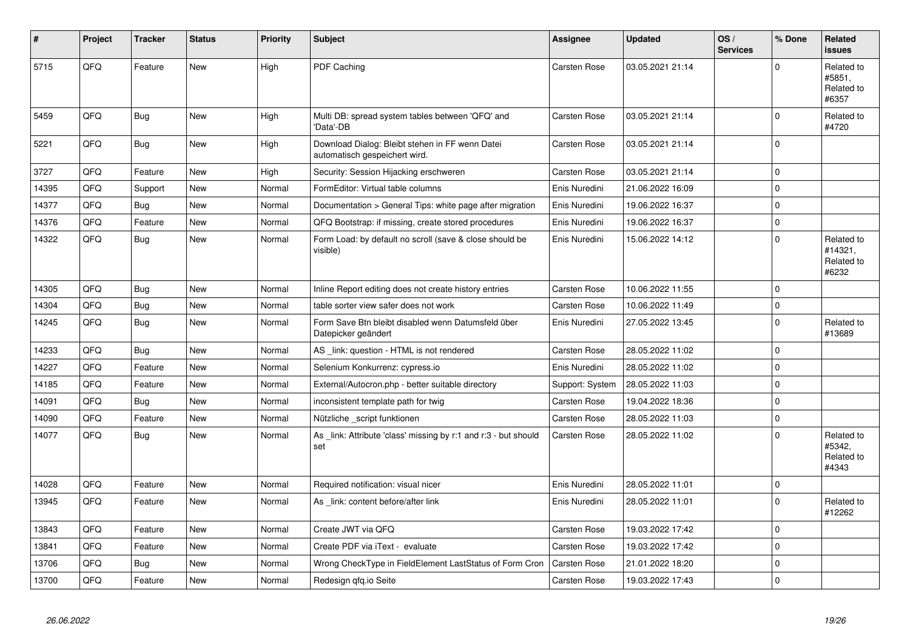| #     | Project | <b>Tracker</b> | <b>Status</b> | <b>Priority</b> | <b>Subject</b>                                                                   | Assignee            | <b>Updated</b>   | OS/<br><b>Services</b> | % Done              | <b>Related</b><br><b>issues</b>              |
|-------|---------|----------------|---------------|-----------------|----------------------------------------------------------------------------------|---------------------|------------------|------------------------|---------------------|----------------------------------------------|
| 5715  | QFQ     | Feature        | <b>New</b>    | High            | PDF Caching                                                                      | <b>Carsten Rose</b> | 03.05.2021 21:14 |                        | $\Omega$            | Related to<br>#5851,<br>Related to<br>#6357  |
| 5459  | QFQ     | <b>Bug</b>     | <b>New</b>    | High            | Multi DB: spread system tables between 'QFQ' and<br>'Data'-DB                    | <b>Carsten Rose</b> | 03.05.2021 21:14 |                        | $\mathbf 0$         | Related to<br>#4720                          |
| 5221  | QFQ     | <b>Bug</b>     | <b>New</b>    | High            | Download Dialog: Bleibt stehen in FF wenn Datei<br>automatisch gespeichert wird. | <b>Carsten Rose</b> | 03.05.2021 21:14 |                        | $\mathbf 0$         |                                              |
| 3727  | QFQ     | Feature        | New           | High            | Security: Session Hijacking erschweren                                           | Carsten Rose        | 03.05.2021 21:14 |                        | $\mathsf{O}\xspace$ |                                              |
| 14395 | QFQ     | Support        | New           | Normal          | FormEditor: Virtual table columns                                                | Enis Nuredini       | 21.06.2022 16:09 |                        | $\mathbf 0$         |                                              |
| 14377 | QFQ     | <b>Bug</b>     | <b>New</b>    | Normal          | Documentation > General Tips: white page after migration                         | Enis Nuredini       | 19.06.2022 16:37 |                        | $\mathbf 0$         |                                              |
| 14376 | QFQ     | Feature        | <b>New</b>    | Normal          | QFQ Bootstrap: if missing, create stored procedures                              | Enis Nuredini       | 19.06.2022 16:37 |                        | $\mathbf 0$         |                                              |
| 14322 | QFQ     | <b>Bug</b>     | New           | Normal          | Form Load: by default no scroll (save & close should be<br>visible)              | Enis Nuredini       | 15.06.2022 14:12 |                        | $\mathsf{O}\xspace$ | Related to<br>#14321,<br>Related to<br>#6232 |
| 14305 | QFQ     | Bug            | <b>New</b>    | Normal          | Inline Report editing does not create history entries                            | <b>Carsten Rose</b> | 10.06.2022 11:55 |                        | $\mathsf{O}\xspace$ |                                              |
| 14304 | QFQ     | <b>Bug</b>     | New           | Normal          | table sorter view safer does not work                                            | Carsten Rose        | 10.06.2022 11:49 |                        | $\mathbf 0$         |                                              |
| 14245 | QFQ     | <b>Bug</b>     | New           | Normal          | Form Save Btn bleibt disabled wenn Datumsfeld über<br>Datepicker geändert        | Enis Nuredini       | 27.05.2022 13:45 |                        | $\pmb{0}$           | Related to<br>#13689                         |
| 14233 | QFQ     | <b>Bug</b>     | <b>New</b>    | Normal          | AS _link: question - HTML is not rendered                                        | Carsten Rose        | 28.05.2022 11:02 |                        | $\mathbf 0$         |                                              |
| 14227 | QFQ     | Feature        | New           | Normal          | Selenium Konkurrenz: cypress.io                                                  | Enis Nuredini       | 28.05.2022 11:02 |                        | $\mathbf 0$         |                                              |
| 14185 | QFQ     | Feature        | New           | Normal          | External/Autocron.php - better suitable directory                                | Support: System     | 28.05.2022 11:03 |                        | $\mathbf 0$         |                                              |
| 14091 | QFQ     | Bug            | <b>New</b>    | Normal          | inconsistent template path for twig                                              | <b>Carsten Rose</b> | 19.04.2022 18:36 |                        | $\mathbf 0$         |                                              |
| 14090 | QFQ     | Feature        | New           | Normal          | Nützliche _script funktionen                                                     | Carsten Rose        | 28.05.2022 11:03 |                        | $\mathsf{O}\xspace$ |                                              |
| 14077 | QFQ     | <b>Bug</b>     | New           | Normal          | As link: Attribute 'class' missing by r:1 and r:3 - but should<br>set            | <b>Carsten Rose</b> | 28.05.2022 11:02 |                        | $\mathbf 0$         | Related to<br>#5342,<br>Related to<br>#4343  |
| 14028 | QFQ     | Feature        | <b>New</b>    | Normal          | Required notification: visual nicer                                              | Enis Nuredini       | 28.05.2022 11:01 |                        | $\mathsf{O}\xspace$ |                                              |
| 13945 | QFQ     | Feature        | New           | Normal          | As _link: content before/after link                                              | Enis Nuredini       | 28.05.2022 11:01 |                        | $\Omega$            | Related to<br>#12262                         |
| 13843 | QFQ     | Feature        | <b>New</b>    | Normal          | Create JWT via QFQ                                                               | Carsten Rose        | 19.03.2022 17:42 |                        | $\mathbf 0$         |                                              |
| 13841 | QFQ     | Feature        | New           | Normal          | Create PDF via iText - evaluate                                                  | <b>Carsten Rose</b> | 19.03.2022 17:42 |                        | $\mathbf 0$         |                                              |
| 13706 | QFQ     | <b>Bug</b>     | <b>New</b>    | Normal          | Wrong CheckType in FieldElement LastStatus of Form Cron                          | <b>Carsten Rose</b> | 21.01.2022 18:20 |                        | $\mathbf 0$         |                                              |
| 13700 | QFQ     | Feature        | New           | Normal          | Redesign gfg.io Seite                                                            | <b>Carsten Rose</b> | 19.03.2022 17:43 |                        | $\pmb{0}$           |                                              |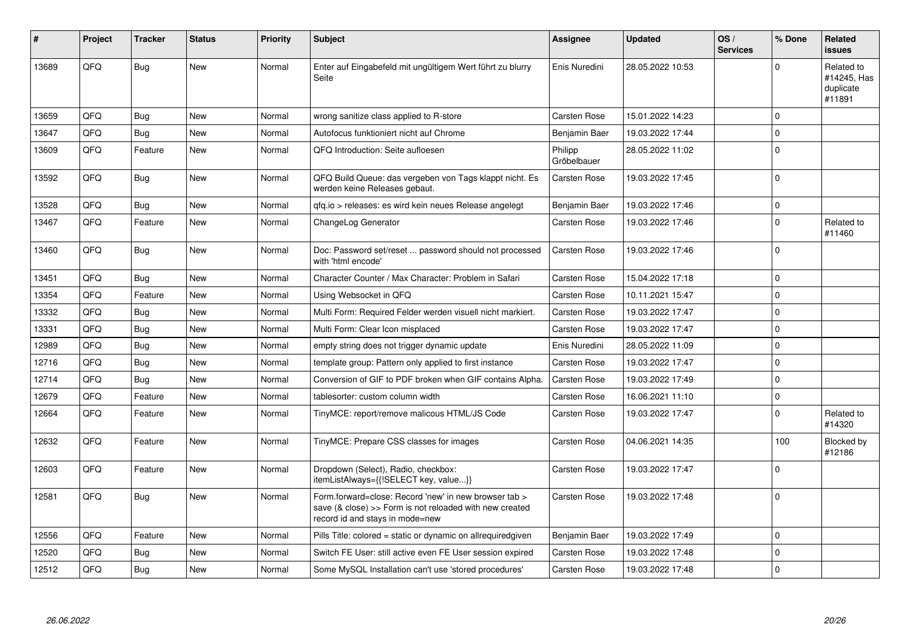| #     | Project | <b>Tracker</b> | <b>Status</b> | <b>Priority</b> | <b>Subject</b>                                                                                                                                      | <b>Assignee</b>        | <b>Updated</b>   | OS/<br><b>Services</b> | % Done      | Related<br>issues                                |
|-------|---------|----------------|---------------|-----------------|-----------------------------------------------------------------------------------------------------------------------------------------------------|------------------------|------------------|------------------------|-------------|--------------------------------------------------|
| 13689 | QFQ     | <b>Bug</b>     | <b>New</b>    | Normal          | Enter auf Eingabefeld mit ungültigem Wert führt zu blurry<br>Seite                                                                                  | Enis Nuredini          | 28.05.2022 10:53 |                        | $\Omega$    | Related to<br>#14245, Has<br>duplicate<br>#11891 |
| 13659 | QFQ     | <b>Bug</b>     | <b>New</b>    | Normal          | wrong sanitize class applied to R-store                                                                                                             | <b>Carsten Rose</b>    | 15.01.2022 14:23 |                        | $\Omega$    |                                                  |
| 13647 | QFQ     | <b>Bug</b>     | <b>New</b>    | Normal          | Autofocus funktioniert nicht auf Chrome                                                                                                             | Benjamin Baer          | 19.03.2022 17:44 |                        | $\Omega$    |                                                  |
| 13609 | QFQ     | Feature        | New           | Normal          | QFQ Introduction: Seite aufloesen                                                                                                                   | Philipp<br>Gröbelbauer | 28.05.2022 11:02 |                        | $\Omega$    |                                                  |
| 13592 | QFQ     | Bug            | New           | Normal          | QFQ Build Queue: das vergeben von Tags klappt nicht. Es<br>werden keine Releases gebaut.                                                            | Carsten Rose           | 19.03.2022 17:45 |                        | $\Omega$    |                                                  |
| 13528 | QFQ     | Bug            | <b>New</b>    | Normal          | gfg.io > releases: es wird kein neues Release angelegt                                                                                              | Benjamin Baer          | 19.03.2022 17:46 |                        | $\mathbf 0$ |                                                  |
| 13467 | QFQ     | Feature        | New           | Normal          | ChangeLog Generator                                                                                                                                 | Carsten Rose           | 19.03.2022 17:46 |                        | $\mathbf 0$ | Related to<br>#11460                             |
| 13460 | QFQ     | <b>Bug</b>     | <b>New</b>    | Normal          | Doc: Password set/reset  password should not processed<br>with 'html encode'                                                                        | Carsten Rose           | 19.03.2022 17:46 |                        | $\Omega$    |                                                  |
| 13451 | QFQ     | <b>Bug</b>     | <b>New</b>    | Normal          | Character Counter / Max Character: Problem in Safari                                                                                                | Carsten Rose           | 15.04.2022 17:18 |                        | $\Omega$    |                                                  |
| 13354 | QFQ     | Feature        | <b>New</b>    | Normal          | Using Websocket in QFQ                                                                                                                              | Carsten Rose           | 10.11.2021 15:47 |                        | $\Omega$    |                                                  |
| 13332 | QFQ     | Bug            | <b>New</b>    | Normal          | Multi Form: Required Felder werden visuell nicht markiert.                                                                                          | <b>Carsten Rose</b>    | 19.03.2022 17:47 |                        | $\mathbf 0$ |                                                  |
| 13331 | QFQ     | <b>Bug</b>     | New           | Normal          | Multi Form: Clear Icon misplaced                                                                                                                    | Carsten Rose           | 19.03.2022 17:47 |                        | $\Omega$    |                                                  |
| 12989 | QFQ     | Bug            | <b>New</b>    | Normal          | empty string does not trigger dynamic update                                                                                                        | Enis Nuredini          | 28.05.2022 11:09 |                        | $\Omega$    |                                                  |
| 12716 | QFQ     | Bug            | New           | Normal          | template group: Pattern only applied to first instance                                                                                              | Carsten Rose           | 19.03.2022 17:47 |                        | $\mathbf 0$ |                                                  |
| 12714 | QFQ     | Bug            | <b>New</b>    | Normal          | Conversion of GIF to PDF broken when GIF contains Alpha.                                                                                            | Carsten Rose           | 19.03.2022 17:49 |                        | $\Omega$    |                                                  |
| 12679 | QFQ     | Feature        | <b>New</b>    | Normal          | tablesorter: custom column width                                                                                                                    | Carsten Rose           | 16.06.2021 11:10 |                        | $\mathbf 0$ |                                                  |
| 12664 | QFQ     | Feature        | New           | Normal          | TinyMCE: report/remove malicous HTML/JS Code                                                                                                        | Carsten Rose           | 19.03.2022 17:47 |                        | $\Omega$    | Related to<br>#14320                             |
| 12632 | QFQ     | Feature        | <b>New</b>    | Normal          | TinyMCE: Prepare CSS classes for images                                                                                                             | Carsten Rose           | 04.06.2021 14:35 |                        | 100         | Blocked by<br>#12186                             |
| 12603 | QFQ     | Feature        | New           | Normal          | Dropdown (Select), Radio, checkbox:<br>itemListAlways={{!SELECT key, value}}                                                                        | Carsten Rose           | 19.03.2022 17:47 |                        | $\Omega$    |                                                  |
| 12581 | QFQ     | <b>Bug</b>     | <b>New</b>    | Normal          | Form.forward=close: Record 'new' in new browser tab ><br>save (& close) >> Form is not reloaded with new created<br>record id and stays in mode=new | Carsten Rose           | 19.03.2022 17:48 |                        | $\Omega$    |                                                  |
| 12556 | QFQ     | Feature        | <b>New</b>    | Normal          | Pills Title: colored = static or dynamic on allrequiredgiven                                                                                        | Benjamin Baer          | 19.03.2022 17:49 |                        | $\Omega$    |                                                  |
| 12520 | QFQ     | Bug            | New           | Normal          | Switch FE User: still active even FE User session expired                                                                                           | Carsten Rose           | 19.03.2022 17:48 |                        | $\mathbf 0$ |                                                  |
| 12512 | QFQ     | Bug            | New           | Normal          | Some MySQL Installation can't use 'stored procedures'                                                                                               | Carsten Rose           | 19.03.2022 17:48 |                        | $\mathbf 0$ |                                                  |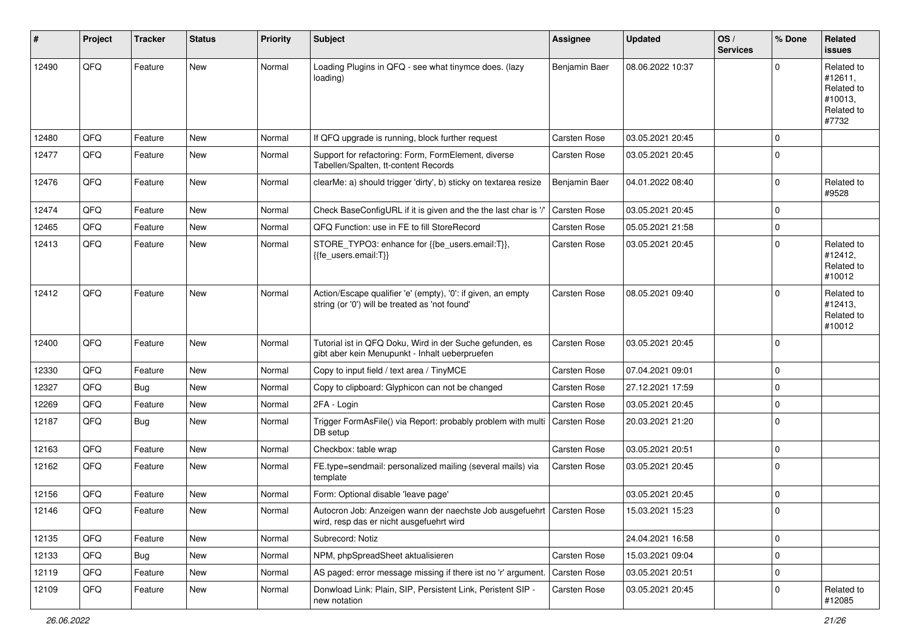| #     | Project | <b>Tracker</b> | <b>Status</b> | <b>Priority</b> | Subject                                                                                                             | <b>Assignee</b>     | <b>Updated</b>   | OS/<br><b>Services</b> | % Done              | Related<br><b>issues</b>                                              |
|-------|---------|----------------|---------------|-----------------|---------------------------------------------------------------------------------------------------------------------|---------------------|------------------|------------------------|---------------------|-----------------------------------------------------------------------|
| 12490 | QFQ     | Feature        | <b>New</b>    | Normal          | Loading Plugins in QFQ - see what tinymce does. (lazy<br>loading)                                                   | Benjamin Baer       | 08.06.2022 10:37 |                        | $\Omega$            | Related to<br>#12611.<br>Related to<br>#10013,<br>Related to<br>#7732 |
| 12480 | QFQ     | Feature        | <b>New</b>    | Normal          | If QFQ upgrade is running, block further request                                                                    | <b>Carsten Rose</b> | 03.05.2021 20:45 |                        | $\mathbf 0$         |                                                                       |
| 12477 | QFQ     | Feature        | New           | Normal          | Support for refactoring: Form, FormElement, diverse<br>Tabellen/Spalten, tt-content Records                         | Carsten Rose        | 03.05.2021 20:45 |                        | $\mathbf 0$         |                                                                       |
| 12476 | QFQ     | Feature        | New           | Normal          | clearMe: a) should trigger 'dirty', b) sticky on textarea resize                                                    | Benjamin Baer       | 04.01.2022 08:40 |                        | $\mathbf 0$         | Related to<br>#9528                                                   |
| 12474 | QFQ     | Feature        | <b>New</b>    | Normal          | Check BaseConfigURL if it is given and the the last char is '/                                                      | <b>Carsten Rose</b> | 03.05.2021 20:45 |                        | $\mathbf 0$         |                                                                       |
| 12465 | QFQ     | Feature        | <b>New</b>    | Normal          | QFQ Function: use in FE to fill StoreRecord                                                                         | <b>Carsten Rose</b> | 05.05.2021 21:58 |                        | $\mathbf 0$         |                                                                       |
| 12413 | QFQ     | Feature        | New           | Normal          | STORE_TYPO3: enhance for {{be_users.email:T}},<br>{{fe_users.email:T}}                                              | <b>Carsten Rose</b> | 03.05.2021 20:45 |                        | $\mathbf 0$         | Related to<br>#12412,<br>Related to<br>#10012                         |
| 12412 | QFQ     | Feature        | New           | Normal          | Action/Escape qualifier 'e' (empty), '0': if given, an empty<br>string (or '0') will be treated as 'not found'      | <b>Carsten Rose</b> | 08.05.2021 09:40 |                        | $\mathbf 0$         | Related to<br>#12413,<br>Related to<br>#10012                         |
| 12400 | QFQ     | Feature        | <b>New</b>    | Normal          | Tutorial ist in QFQ Doku, Wird in der Suche gefunden, es<br>gibt aber kein Menupunkt - Inhalt ueberpruefen          | Carsten Rose        | 03.05.2021 20:45 |                        | $\mathbf 0$         |                                                                       |
| 12330 | QFQ     | Feature        | New           | Normal          | Copy to input field / text area / TinyMCE                                                                           | <b>Carsten Rose</b> | 07.04.2021 09:01 |                        | $\mathbf 0$         |                                                                       |
| 12327 | QFQ     | <b>Bug</b>     | <b>New</b>    | Normal          | Copy to clipboard: Glyphicon can not be changed                                                                     | Carsten Rose        | 27.12.2021 17:59 |                        | $\mathbf 0$         |                                                                       |
| 12269 | QFQ     | Feature        | <b>New</b>    | Normal          | 2FA - Login                                                                                                         | <b>Carsten Rose</b> | 03.05.2021 20:45 |                        | $\mathbf 0$         |                                                                       |
| 12187 | QFQ     | Bug            | New           | Normal          | Trigger FormAsFile() via Report: probably problem with multi<br>DB setup                                            | <b>Carsten Rose</b> | 20.03.2021 21:20 |                        | $\mathbf 0$         |                                                                       |
| 12163 | QFQ     | Feature        | New           | Normal          | Checkbox: table wrap                                                                                                | <b>Carsten Rose</b> | 03.05.2021 20:51 |                        | $\mathbf 0$         |                                                                       |
| 12162 | QFQ     | Feature        | New           | Normal          | FE.type=sendmail: personalized mailing (several mails) via<br>template                                              | <b>Carsten Rose</b> | 03.05.2021 20:45 |                        | $\mathbf 0$         |                                                                       |
| 12156 | QFQ     | Feature        | New           | Normal          | Form: Optional disable 'leave page'                                                                                 |                     | 03.05.2021 20:45 |                        | $\mathbf 0$         |                                                                       |
| 12146 | QFQ     | Feature        | <b>New</b>    | Normal          | Autocron Job: Anzeigen wann der naechste Job ausgefuehrt   Carsten Rose<br>wird, resp das er nicht ausgefuehrt wird |                     | 15.03.2021 15:23 |                        | $\Omega$            |                                                                       |
| 12135 | QFQ     | Feature        | New           | Normal          | Subrecord: Notiz                                                                                                    |                     | 24.04.2021 16:58 |                        | $\mathbf 0$         |                                                                       |
| 12133 | QFQ     | <b>Bug</b>     | New           | Normal          | NPM, phpSpreadSheet aktualisieren                                                                                   | Carsten Rose        | 15.03.2021 09:04 |                        | $\mathsf{O}\xspace$ |                                                                       |
| 12119 | QFQ     | Feature        | New           | Normal          | AS paged: error message missing if there ist no 'r' argument                                                        | Carsten Rose        | 03.05.2021 20:51 |                        | $\mathbf 0$         |                                                                       |
| 12109 | QFQ     | Feature        | New           | Normal          | Donwload Link: Plain, SIP, Persistent Link, Peristent SIP -<br>new notation                                         | Carsten Rose        | 03.05.2021 20:45 |                        | 0                   | Related to<br>#12085                                                  |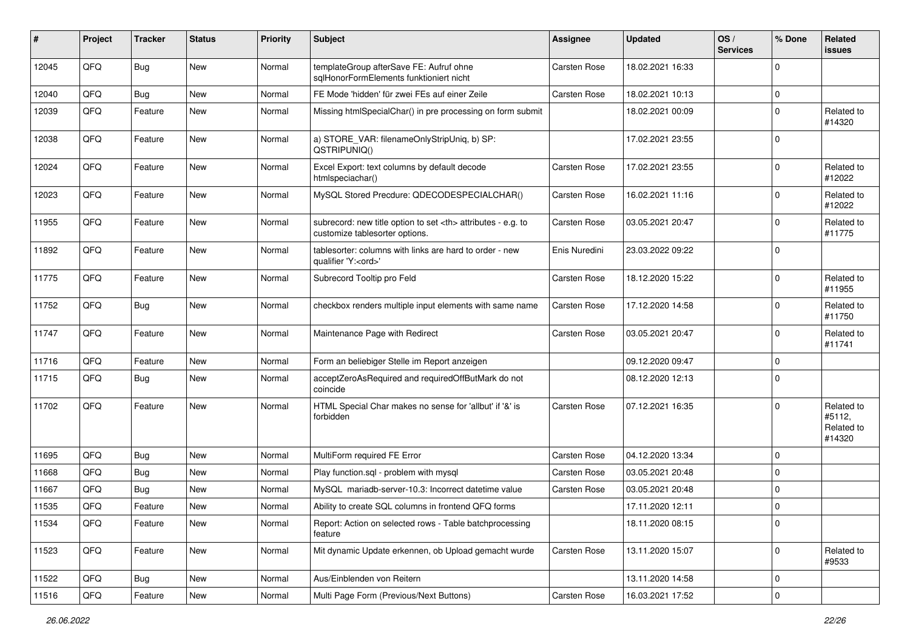| $\sharp$ | Project | <b>Tracker</b> | <b>Status</b> | <b>Priority</b> | Subject                                                                                              | <b>Assignee</b>                                        | <b>Updated</b>      | OS/<br><b>Services</b> | % Done      | Related<br><b>issues</b>                     |                      |
|----------|---------|----------------|---------------|-----------------|------------------------------------------------------------------------------------------------------|--------------------------------------------------------|---------------------|------------------------|-------------|----------------------------------------------|----------------------|
| 12045    | QFQ     | Bug            | <b>New</b>    | Normal          | templateGroup afterSave FE: Aufruf ohne<br>sglHonorFormElements funktioniert nicht                   | <b>Carsten Rose</b>                                    | 18.02.2021 16:33    |                        | $\mathbf 0$ |                                              |                      |
| 12040    | QFQ     | <b>Bug</b>     | <b>New</b>    | Normal          | FE Mode 'hidden' für zwei FEs auf einer Zeile                                                        | <b>Carsten Rose</b>                                    | 18.02.2021 10:13    |                        | $\mathbf 0$ |                                              |                      |
| 12039    | QFQ     | Feature        | New           | Normal          | Missing htmlSpecialChar() in pre processing on form submit                                           |                                                        | 18.02.2021 00:09    |                        | $\mathbf 0$ | Related to<br>#14320                         |                      |
| 12038    | QFQ     | Feature        | New           | Normal          | a) STORE_VAR: filenameOnlyStripUniq, b) SP:<br>QSTRIPUNIQ()                                          |                                                        | 17.02.2021 23:55    |                        | $\mathbf 0$ |                                              |                      |
| 12024    | QFQ     | Feature        | New           | Normal          | Excel Export: text columns by default decode<br>htmlspeciachar()                                     | <b>Carsten Rose</b>                                    | 17.02.2021 23:55    |                        | $\mathbf 0$ | Related to<br>#12022                         |                      |
| 12023    | QFQ     | Feature        | New           | Normal          | MySQL Stored Precdure: QDECODESPECIALCHAR()                                                          | Carsten Rose                                           | 16.02.2021 11:16    |                        | $\mathbf 0$ | Related to<br>#12022                         |                      |
| 11955    | QFQ     | Feature        | <b>New</b>    | Normal          | subrecord: new title option to set <th> attributes - e.g. to<br/>customize tablesorter options.</th> | attributes - e.g. to<br>customize tablesorter options. | <b>Carsten Rose</b> | 03.05.2021 20:47       |             | 0                                            | Related to<br>#11775 |
| 11892    | QFQ     | Feature        | New           | Normal          | tablesorter: columns with links are hard to order - new<br>qualifier 'Y: <ord>'</ord>                | Enis Nuredini                                          | 23.03.2022 09:22    |                        | $\mathbf 0$ |                                              |                      |
| 11775    | QFQ     | Feature        | New           | Normal          | Subrecord Tooltip pro Feld                                                                           | <b>Carsten Rose</b>                                    | 18.12.2020 15:22    |                        | $\mathbf 0$ | Related to<br>#11955                         |                      |
| 11752    | QFQ     | Bug            | New           | Normal          | checkbox renders multiple input elements with same name                                              | <b>Carsten Rose</b>                                    | 17.12.2020 14:58    |                        | $\mathbf 0$ | Related to<br>#11750                         |                      |
| 11747    | QFQ     | Feature        | New           | Normal          | Maintenance Page with Redirect                                                                       | <b>Carsten Rose</b>                                    | 03.05.2021 20:47    |                        | $\mathbf 0$ | Related to<br>#11741                         |                      |
| 11716    | QFQ     | Feature        | <b>New</b>    | Normal          | Form an beliebiger Stelle im Report anzeigen                                                         |                                                        | 09.12.2020 09:47    |                        | $\mathbf 0$ |                                              |                      |
| 11715    | QFQ     | Bug            | New           | Normal          | acceptZeroAsRequired and requiredOffButMark do not<br>coincide                                       |                                                        | 08.12.2020 12:13    |                        | $\mathbf 0$ |                                              |                      |
| 11702    | QFQ     | Feature        | New           | Normal          | HTML Special Char makes no sense for 'allbut' if '&' is<br>forbidden                                 | <b>Carsten Rose</b>                                    | 07.12.2021 16:35    |                        | $\mathbf 0$ | Related to<br>#5112,<br>Related to<br>#14320 |                      |
| 11695    | QFQ     | Bug            | <b>New</b>    | Normal          | MultiForm required FE Error                                                                          | <b>Carsten Rose</b>                                    | 04.12.2020 13:34    |                        | $\mathbf 0$ |                                              |                      |
| 11668    | QFQ     | Bug            | New           | Normal          | Play function.sql - problem with mysql                                                               | <b>Carsten Rose</b>                                    | 03.05.2021 20:48    |                        | $\mathbf 0$ |                                              |                      |
| 11667    | QFQ     | <b>Bug</b>     | <b>New</b>    | Normal          | MySQL mariadb-server-10.3: Incorrect datetime value                                                  | <b>Carsten Rose</b>                                    | 03.05.2021 20:48    |                        | $\mathbf 0$ |                                              |                      |
| 11535    | QFQ     | Feature        | New           | Normal          | Ability to create SQL columns in frontend QFQ forms                                                  |                                                        | 17.11.2020 12:11    |                        | $\mathbf 0$ |                                              |                      |
| 11534    | QFG     | Feature        | New           | Normal          | Report: Action on selected rows - Table batchprocessing<br>feature                                   |                                                        | 18.11.2020 08:15    |                        | 0           |                                              |                      |
| 11523    | QFQ     | Feature        | New           | Normal          | Mit dynamic Update erkennen, ob Upload gemacht wurde                                                 | Carsten Rose                                           | 13.11.2020 15:07    |                        | $\mathbf 0$ | Related to<br>#9533                          |                      |
| 11522    | QFQ     | Bug            | New           | Normal          | Aus/Einblenden von Reitern                                                                           |                                                        | 13.11.2020 14:58    |                        | $\mathbf 0$ |                                              |                      |
| 11516    | QFG     | Feature        | New           | Normal          | Multi Page Form (Previous/Next Buttons)                                                              | Carsten Rose                                           | 16.03.2021 17:52    |                        | $\pmb{0}$   |                                              |                      |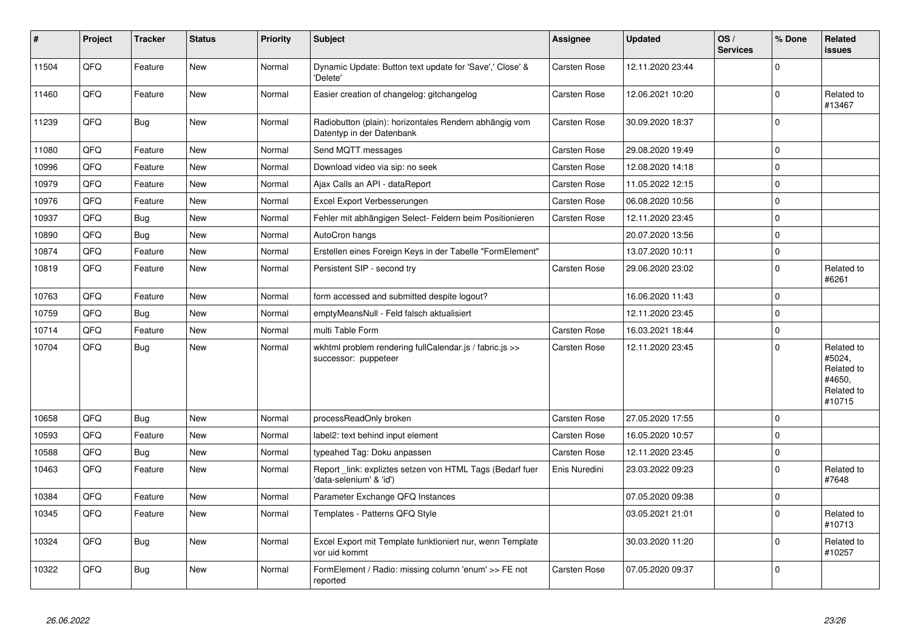| $\pmb{\sharp}$ | Project | <b>Tracker</b> | <b>Status</b> | <b>Priority</b> | <b>Subject</b>                                                                      | Assignee            | <b>Updated</b>   | OS/<br><b>Services</b> | % Done       | Related<br><b>issues</b>                                             |
|----------------|---------|----------------|---------------|-----------------|-------------------------------------------------------------------------------------|---------------------|------------------|------------------------|--------------|----------------------------------------------------------------------|
| 11504          | QFQ     | Feature        | <b>New</b>    | Normal          | Dynamic Update: Button text update for 'Save',' Close' &<br>'Delete'                | Carsten Rose        | 12.11.2020 23:44 |                        | $\Omega$     |                                                                      |
| 11460          | QFQ     | Feature        | <b>New</b>    | Normal          | Easier creation of changelog: gitchangelog                                          | Carsten Rose        | 12.06.2021 10:20 |                        | $\Omega$     | Related to<br>#13467                                                 |
| 11239          | QFQ     | Bug            | <b>New</b>    | Normal          | Radiobutton (plain): horizontales Rendern abhängig vom<br>Datentyp in der Datenbank | Carsten Rose        | 30.09.2020 18:37 |                        | $\Omega$     |                                                                      |
| 11080          | QFQ     | Feature        | <b>New</b>    | Normal          | Send MQTT messages                                                                  | <b>Carsten Rose</b> | 29.08.2020 19:49 |                        | $\mathbf 0$  |                                                                      |
| 10996          | QFQ     | Feature        | <b>New</b>    | Normal          | Download video via sip: no seek                                                     | Carsten Rose        | 12.08.2020 14:18 |                        | $\mathbf{0}$ |                                                                      |
| 10979          | QFQ     | Feature        | <b>New</b>    | Normal          | Ajax Calls an API - dataReport                                                      | Carsten Rose        | 11.05.2022 12:15 |                        | $\Omega$     |                                                                      |
| 10976          | QFQ     | Feature        | <b>New</b>    | Normal          | Excel Export Verbesserungen                                                         | Carsten Rose        | 06.08.2020 10:56 |                        | $\Omega$     |                                                                      |
| 10937          | QFQ     | <b>Bug</b>     | <b>New</b>    | Normal          | Fehler mit abhängigen Select- Feldern beim Positionieren                            | Carsten Rose        | 12.11.2020 23:45 |                        | $\Omega$     |                                                                      |
| 10890          | QFQ     | <b>Bug</b>     | <b>New</b>    | Normal          | AutoCron hangs                                                                      |                     | 20.07.2020 13:56 |                        | $\mathbf 0$  |                                                                      |
| 10874          | QFQ     | Feature        | New           | Normal          | Erstellen eines Foreign Keys in der Tabelle "FormElement"                           |                     | 13.07.2020 10:11 |                        | $\Omega$     |                                                                      |
| 10819          | QFQ     | Feature        | New           | Normal          | Persistent SIP - second try                                                         | Carsten Rose        | 29.06.2020 23:02 |                        | $\mathbf{0}$ | Related to<br>#6261                                                  |
| 10763          | QFQ     | Feature        | <b>New</b>    | Normal          | form accessed and submitted despite logout?                                         |                     | 16.06.2020 11:43 |                        | $\Omega$     |                                                                      |
| 10759          | QFQ     | <b>Bug</b>     | <b>New</b>    | Normal          | emptyMeansNull - Feld falsch aktualisiert                                           |                     | 12.11.2020 23:45 |                        | $\mathbf 0$  |                                                                      |
| 10714          | QFQ     | Feature        | New           | Normal          | multi Table Form                                                                    | Carsten Rose        | 16.03.2021 18:44 |                        | $\Omega$     |                                                                      |
| 10704          | QFQ     | <b>Bug</b>     | <b>New</b>    | Normal          | wkhtml problem rendering fullCalendar.js / fabric.js >><br>successor: puppeteer     | Carsten Rose        | 12.11.2020 23:45 |                        | $\mathbf{0}$ | Related to<br>#5024,<br>Related to<br>#4650,<br>Related to<br>#10715 |
| 10658          | QFQ     | <b>Bug</b>     | <b>New</b>    | Normal          | processReadOnly broken                                                              | <b>Carsten Rose</b> | 27.05.2020 17:55 |                        | 0            |                                                                      |
| 10593          | QFQ     | Feature        | New           | Normal          | label2: text behind input element                                                   | Carsten Rose        | 16.05.2020 10:57 |                        | $\Omega$     |                                                                      |
| 10588          | QFQ     | <b>Bug</b>     | <b>New</b>    | Normal          | typeahed Tag: Doku anpassen                                                         | Carsten Rose        | 12.11.2020 23:45 |                        | $\mathbf 0$  |                                                                      |
| 10463          | QFQ     | Feature        | <b>New</b>    | Normal          | Report_link: expliztes setzen von HTML Tags (Bedarf fuer<br>'data-selenium' & 'id') | Enis Nuredini       | 23.03.2022 09:23 |                        | $\Omega$     | Related to<br>#7648                                                  |
| 10384          | QFQ     | Feature        | <b>New</b>    | Normal          | Parameter Exchange QFQ Instances                                                    |                     | 07.05.2020 09:38 |                        | $\Omega$     |                                                                      |
| 10345          | QFQ     | Feature        | New           | Normal          | Templates - Patterns QFQ Style                                                      |                     | 03.05.2021 21:01 |                        | $\Omega$     | Related to<br>#10713                                                 |
| 10324          | QFQ     | <b>Bug</b>     | <b>New</b>    | Normal          | Excel Export mit Template funktioniert nur, wenn Template<br>vor uid kommt          |                     | 30.03.2020 11:20 |                        | $\mathbf{0}$ | Related to<br>#10257                                                 |
| 10322          | QFQ     | <b>Bug</b>     | New           | Normal          | FormElement / Radio: missing column 'enum' >> FE not<br>reported                    | Carsten Rose        | 07.05.2020 09:37 |                        | $\Omega$     |                                                                      |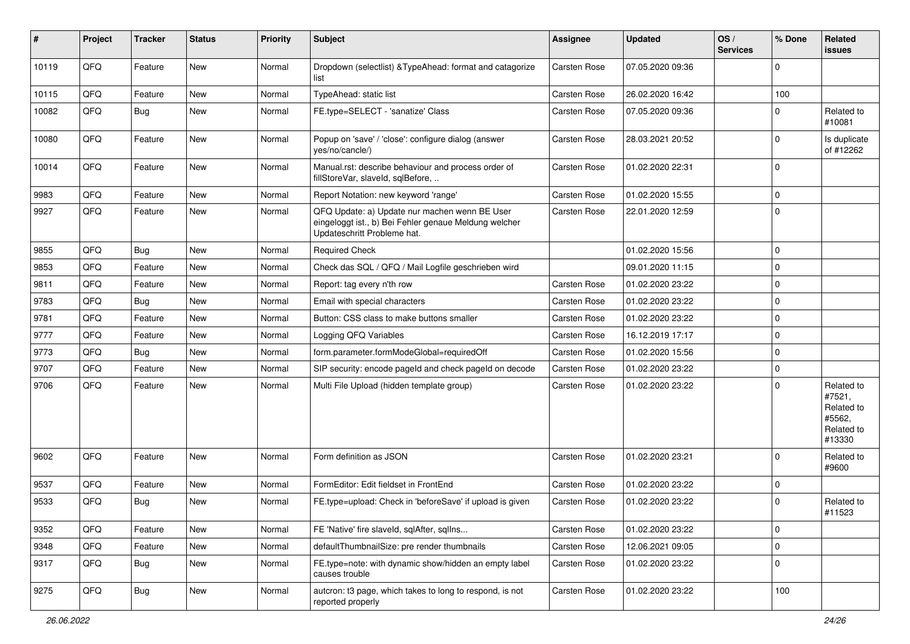| ∦     | Project | <b>Tracker</b> | <b>Status</b> | <b>Priority</b> | Subject                                                                                                                               | <b>Assignee</b>     | <b>Updated</b>   | OS/<br><b>Services</b> | % Done      | <b>Related</b><br>issues                                             |
|-------|---------|----------------|---------------|-----------------|---------------------------------------------------------------------------------------------------------------------------------------|---------------------|------------------|------------------------|-------------|----------------------------------------------------------------------|
| 10119 | QFQ     | Feature        | New           | Normal          | Dropdown (selectlist) & TypeAhead: format and catagorize<br>list                                                                      | <b>Carsten Rose</b> | 07.05.2020 09:36 |                        | $\mathbf 0$ |                                                                      |
| 10115 | QFQ     | Feature        | New           | Normal          | TypeAhead: static list                                                                                                                | <b>Carsten Rose</b> | 26.02.2020 16:42 |                        | 100         |                                                                      |
| 10082 | QFQ     | <b>Bug</b>     | New           | Normal          | FE.type=SELECT - 'sanatize' Class                                                                                                     | <b>Carsten Rose</b> | 07.05.2020 09:36 |                        | $\mathbf 0$ | Related to<br>#10081                                                 |
| 10080 | QFQ     | Feature        | New           | Normal          | Popup on 'save' / 'close': configure dialog (answer<br>yes/no/cancle/)                                                                | <b>Carsten Rose</b> | 28.03.2021 20:52 |                        | $\mathbf 0$ | Is duplicate<br>of #12262                                            |
| 10014 | QFQ     | Feature        | <b>New</b>    | Normal          | Manual.rst: describe behaviour and process order of<br>fillStoreVar, slaveId, sqlBefore,                                              | Carsten Rose        | 01.02.2020 22:31 |                        | $\mathbf 0$ |                                                                      |
| 9983  | QFQ     | Feature        | <b>New</b>    | Normal          | Report Notation: new keyword 'range'                                                                                                  | <b>Carsten Rose</b> | 01.02.2020 15:55 |                        | $\mathbf 0$ |                                                                      |
| 9927  | QFQ     | Feature        | New           | Normal          | QFQ Update: a) Update nur machen wenn BE User<br>eingeloggt ist., b) Bei Fehler genaue Meldung welcher<br>Updateschritt Probleme hat. | <b>Carsten Rose</b> | 22.01.2020 12:59 |                        | $\mathbf 0$ |                                                                      |
| 9855  | QFQ     | <b>Bug</b>     | <b>New</b>    | Normal          | <b>Required Check</b>                                                                                                                 |                     | 01.02.2020 15:56 |                        | $\mathbf 0$ |                                                                      |
| 9853  | QFQ     | Feature        | <b>New</b>    | Normal          | Check das SQL / QFQ / Mail Logfile geschrieben wird                                                                                   |                     | 09.01.2020 11:15 |                        | $\mathbf 0$ |                                                                      |
| 9811  | QFQ     | Feature        | New           | Normal          | Report: tag every n'th row                                                                                                            | <b>Carsten Rose</b> | 01.02.2020 23:22 |                        | $\mathbf 0$ |                                                                      |
| 9783  | QFQ     | <b>Bug</b>     | <b>New</b>    | Normal          | Email with special characters                                                                                                         | <b>Carsten Rose</b> | 01.02.2020 23:22 |                        | $\mathbf 0$ |                                                                      |
| 9781  | QFQ     | Feature        | <b>New</b>    | Normal          | Button: CSS class to make buttons smaller                                                                                             | <b>Carsten Rose</b> | 01.02.2020 23:22 |                        | $\mathbf 0$ |                                                                      |
| 9777  | QFQ     | Feature        | New           | Normal          | Logging QFQ Variables                                                                                                                 | <b>Carsten Rose</b> | 16.12.2019 17:17 |                        | $\mathbf 0$ |                                                                      |
| 9773  | QFQ     | <b>Bug</b>     | <b>New</b>    | Normal          | form.parameter.formModeGlobal=requiredOff                                                                                             | <b>Carsten Rose</b> | 01.02.2020 15:56 |                        | $\mathbf 0$ |                                                                      |
| 9707  | QFQ     | Feature        | New           | Normal          | SIP security: encode pageld and check pageld on decode                                                                                | <b>Carsten Rose</b> | 01.02.2020 23:22 |                        | $\mathbf 0$ |                                                                      |
| 9706  | QFQ     | Feature        | New           | Normal          | Multi File Upload (hidden template group)                                                                                             | Carsten Rose        | 01.02.2020 23:22 |                        | $\mathbf 0$ | Related to<br>#7521,<br>Related to<br>#5562,<br>Related to<br>#13330 |
| 9602  | QFQ     | Feature        | New           | Normal          | Form definition as JSON                                                                                                               | <b>Carsten Rose</b> | 01.02.2020 23:21 |                        | $\mathbf 0$ | Related to<br>#9600                                                  |
| 9537  | QFQ     | Feature        | <b>New</b>    | Normal          | FormEditor: Edit fieldset in FrontEnd                                                                                                 | <b>Carsten Rose</b> | 01.02.2020 23:22 |                        | $\mathbf 0$ |                                                                      |
| 9533  | QFQ     | Bug            | <b>New</b>    | Normal          | FE.type=upload: Check in 'beforeSave' if upload is given                                                                              | <b>Carsten Rose</b> | 01.02.2020 23:22 |                        | $\mathbf 0$ | Related to<br>#11523                                                 |
| 9352  | QFQ     | Feature        | New           | Normal          | FE 'Native' fire slaveld, sqlAfter, sqlIns                                                                                            | Carsten Rose        | 01.02.2020 23:22 |                        | $\mathbf 0$ |                                                                      |
| 9348  | QFQ     | Feature        | New           | Normal          | defaultThumbnailSize: pre render thumbnails                                                                                           | Carsten Rose        | 12.06.2021 09:05 |                        | $\mathbf 0$ |                                                                      |
| 9317  | QFQ     | <b>Bug</b>     | New           | Normal          | FE.type=note: with dynamic show/hidden an empty label<br>causes trouble                                                               | Carsten Rose        | 01.02.2020 23:22 |                        | $\mathbf 0$ |                                                                      |
| 9275  | QFO     | <b>Bug</b>     | New           | Normal          | autcron: t3 page, which takes to long to respond, is not<br>reported properly                                                         | Carsten Rose        | 01.02.2020 23:22 |                        | 100         |                                                                      |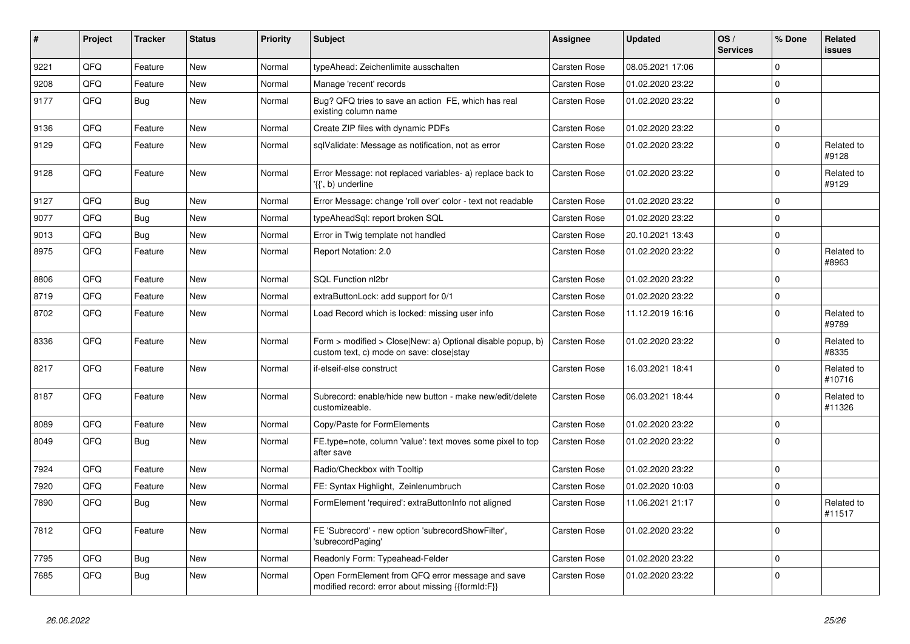| ∦    | Project | <b>Tracker</b> | <b>Status</b> | <b>Priority</b> | Subject                                                                                                | <b>Assignee</b>     | <b>Updated</b>   | OS/<br><b>Services</b> | % Done      | <b>Related</b><br>issues |
|------|---------|----------------|---------------|-----------------|--------------------------------------------------------------------------------------------------------|---------------------|------------------|------------------------|-------------|--------------------------|
| 9221 | QFQ     | Feature        | <b>New</b>    | Normal          | typeAhead: Zeichenlimite ausschalten                                                                   | <b>Carsten Rose</b> | 08.05.2021 17:06 |                        | $\mathbf 0$ |                          |
| 9208 | QFQ     | Feature        | New           | Normal          | Manage 'recent' records                                                                                | <b>Carsten Rose</b> | 01.02.2020 23:22 |                        | $\mathbf 0$ |                          |
| 9177 | QFQ     | <b>Bug</b>     | New           | Normal          | Bug? QFQ tries to save an action FE, which has real<br>existing column name                            | Carsten Rose        | 01.02.2020 23:22 |                        | $\mathbf 0$ |                          |
| 9136 | QFQ     | Feature        | New           | Normal          | Create ZIP files with dynamic PDFs                                                                     | <b>Carsten Rose</b> | 01.02.2020 23:22 |                        | $\mathbf 0$ |                          |
| 9129 | QFQ     | Feature        | New           | Normal          | sqlValidate: Message as notification, not as error                                                     | <b>Carsten Rose</b> | 01.02.2020 23:22 |                        | $\mathbf 0$ | Related to<br>#9128      |
| 9128 | QFQ     | Feature        | <b>New</b>    | Normal          | Error Message: not replaced variables- a) replace back to<br>'{{', b) underline                        | Carsten Rose        | 01.02.2020 23:22 |                        | $\mathbf 0$ | Related to<br>#9129      |
| 9127 | QFQ     | <b>Bug</b>     | New           | Normal          | Error Message: change 'roll over' color - text not readable                                            | <b>Carsten Rose</b> | 01.02.2020 23:22 |                        | $\mathbf 0$ |                          |
| 9077 | QFQ     | <b>Bug</b>     | New           | Normal          | typeAheadSql: report broken SQL                                                                        | <b>Carsten Rose</b> | 01.02.2020 23:22 |                        | $\mathbf 0$ |                          |
| 9013 | QFQ     | Bug            | <b>New</b>    | Normal          | Error in Twig template not handled                                                                     | <b>Carsten Rose</b> | 20.10.2021 13:43 |                        | $\mathbf 0$ |                          |
| 8975 | QFQ     | Feature        | New           | Normal          | Report Notation: 2.0                                                                                   | <b>Carsten Rose</b> | 01.02.2020 23:22 |                        | $\mathbf 0$ | Related to<br>#8963      |
| 8806 | QFQ     | Feature        | <b>New</b>    | Normal          | SQL Function nl2br                                                                                     | <b>Carsten Rose</b> | 01.02.2020 23:22 |                        | $\mathbf 0$ |                          |
| 8719 | QFQ     | Feature        | New           | Normal          | extraButtonLock: add support for 0/1                                                                   | Carsten Rose        | 01.02.2020 23:22 |                        | $\mathbf 0$ |                          |
| 8702 | QFQ     | Feature        | New           | Normal          | Load Record which is locked: missing user info                                                         | <b>Carsten Rose</b> | 11.12.2019 16:16 |                        | $\mathbf 0$ | Related to<br>#9789      |
| 8336 | QFQ     | Feature        | New           | Normal          | Form > modified > Close New: a) Optional disable popup, b)<br>custom text, c) mode on save: close stay | <b>Carsten Rose</b> | 01.02.2020 23:22 |                        | $\mathbf 0$ | Related to<br>#8335      |
| 8217 | QFQ     | Feature        | New           | Normal          | if-elseif-else construct                                                                               | <b>Carsten Rose</b> | 16.03.2021 18:41 |                        | $\mathbf 0$ | Related to<br>#10716     |
| 8187 | QFQ     | Feature        | New           | Normal          | Subrecord: enable/hide new button - make new/edit/delete<br>customizeable.                             | <b>Carsten Rose</b> | 06.03.2021 18:44 |                        | $\mathbf 0$ | Related to<br>#11326     |
| 8089 | QFQ     | Feature        | New           | Normal          | Copy/Paste for FormElements                                                                            | Carsten Rose        | 01.02.2020 23:22 |                        | $\mathbf 0$ |                          |
| 8049 | QFQ     | <b>Bug</b>     | <b>New</b>    | Normal          | FE.type=note, column 'value': text moves some pixel to top<br>after save                               | <b>Carsten Rose</b> | 01.02.2020 23:22 |                        | $\mathbf 0$ |                          |
| 7924 | QFQ     | Feature        | <b>New</b>    | Normal          | Radio/Checkbox with Tooltip                                                                            | <b>Carsten Rose</b> | 01.02.2020 23:22 |                        | $\mathbf 0$ |                          |
| 7920 | QFQ     | Feature        | New           | Normal          | FE: Syntax Highlight, Zeinlenumbruch                                                                   | <b>Carsten Rose</b> | 01.02.2020 10:03 |                        | $\mathbf 0$ |                          |
| 7890 | QFQ     | Bug            | New           | Normal          | FormElement 'required': extraButtonInfo not aligned                                                    | <b>Carsten Rose</b> | 11.06.2021 21:17 |                        | $\mathbf 0$ | Related to<br>#11517     |
| 7812 | QFQ     | Feature        | New           | Normal          | FE 'Subrecord' - new option 'subrecordShowFilter',<br>'subrecordPaging'                                | <b>Carsten Rose</b> | 01.02.2020 23:22 |                        | $\mathbf 0$ |                          |
| 7795 | QFQ     | Bug            | New           | Normal          | Readonly Form: Typeahead-Felder                                                                        | <b>Carsten Rose</b> | 01.02.2020 23:22 |                        | $\mathbf 0$ |                          |
| 7685 | QFQ     | <b>Bug</b>     | New           | Normal          | Open FormElement from QFQ error message and save<br>modified record: error about missing {{formId:F}}  | Carsten Rose        | 01.02.2020 23:22 |                        | $\mathbf 0$ |                          |